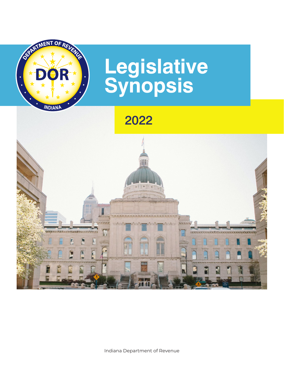

# **Legislative Synopsis**

2022

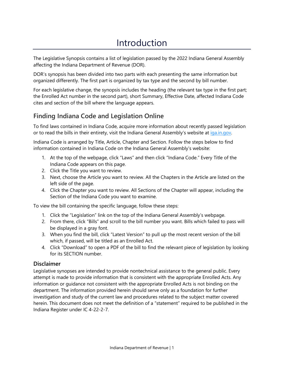# Introduction

The Legislative Synopsis contains a list of legislation passed by the 2022 Indiana General Assembly affecting the Indiana Department of Revenue (DOR).

DOR's synopsis has been divided into two parts with each presenting the same information but organized differently. The first part is organized by tax type and the second by bill number.

For each legislative change, the synopsis includes the heading (the relevant tax type in the first part; the Enrolled Act number in the second part), short Summary, Effective Date, affected Indiana Code cites and section of the bill where the language appears.

# **Finding Indiana Code and Legislation Online**

To find laws contained in Indiana Code, acquire more information about recently passed legislation or to read the bills in their entirety, visit the Indiana General Assembly's website at [iga.in.gov.](http://iga.in.gov/)

Indiana Code is arranged by Title, Article, Chapter and Section. Follow the steps below to find information contained in Indiana Code on the Indiana General Assembly's website:

- 1. At the top of the webpage, click "Laws" and then click "Indiana Code." Every Title of the Indiana Code appears on this page.
- 2. Click the Title you want to review.
- 3. Next, choose the Article you want to review. All the Chapters in the Article are listed on the left side of the page.
- 4. Click the Chapter you want to review. All Sections of the Chapter will appear, including the Section of the Indiana Code you want to examine.

To view the bill containing the specific language, follow these steps:

- 1. Click the "Legislation" link on the top of the Indiana General Assembly's webpage.
- 2. From there, click "Bills" and scroll to the bill number you want. Bills which failed to pass will be displayed in a gray font.
- 3. When you find the bill, click "Latest Version" to pull up the most recent version of the bill which, if passed, will be titled as an Enrolled Act.
- 4. Click "Download" to open a PDF of the bill to find the relevant piece of legislation by looking for its SECTION number.

# **Disclaimer**

Legislative synopses are intended to provide nontechnical assistance to the general public. Every attempt is made to provide information that is consistent with the appropriate Enrolled Acts. Any information or guidance not consistent with the appropriate Enrolled Acts is not binding on the department. The information provided herein should serve only as a foundation for further investigation and study of the current law and procedures related to the subject matter covered herein. This document does not meet the definition of a "statement" required to be published in the Indiana Register under IC 4-22-2-7.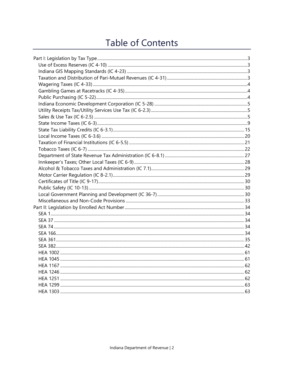# Table of Contents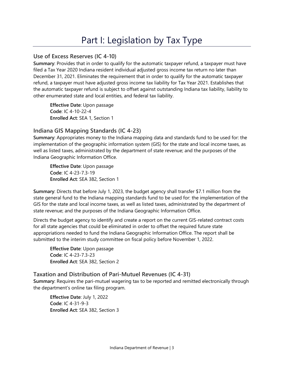# Part I: Legislation by Tax Type

# <span id="page-3-1"></span><span id="page-3-0"></span>**Use of Excess Reserves (IC 4-10)**

**Summary**: Provides that in order to qualify for the automatic taxpayer refund, a taxpayer must have filed a Tax Year 2020 Indiana resident individual adjusted gross income tax return no later than December 31, 2021. Eliminates the requirement that in order to qualify for the automatic taxpayer refund, a taxpayer must have adjusted gross income tax liability for Tax Year 2021. Establishes that the automatic taxpayer refund is subject to offset against outstanding Indiana tax liability, liability to other enumerated state and local entities, and federal tax liability.

**Effective Date**: Upon passage **Code**: IC 4-10-22-4 **Enrolled Act**: SEA 1, Section 1

# <span id="page-3-2"></span>**Indiana GIS Mapping Standards (IC 4-23)**

**Summary**: Appropriates money to the Indiana mapping data and standards fund to be used for: the implementation of the geographic information system (GIS) for the state and local income taxes, as well as listed taxes, administrated by the department of state revenue; and the purposes of the Indiana Geographic Information Office.

**Effective Date**: Upon passage **Code**: IC 4-23-7.3-19 **Enrolled Act**: SEA 382, Section 1

**Summary**: Directs that before July 1, 2023, the budget agency shall transfer \$7.1 million from the state general fund to the Indiana mapping standards fund to be used for: the implementation of the GIS for the state and local income taxes, as well as listed taxes, administrated by the department of state revenue; and the purposes of the Indiana Geographic Information Office.

Directs the budget agency to identify and create a report on the current GIS-related contract costs for all state agencies that could be eliminated in order to offset the required future state appropriations needed to fund the Indiana Geographic Information Office. The report shall be submitted to the interim study committee on fiscal policy before November 1, 2022.

**Effective Date**: Upon passage **Code**: IC 4-23-7.3-23 **Enrolled Act**: SEA 382, Section 2

# <span id="page-3-3"></span>**Taxation and Distribution of Pari-Mutuel Revenues (IC 4-31)**

**Summary**: Requires the pari-mutuel wagering tax to be reported and remitted electronically through the department's online tax filing program.

**Effective Date**: July 1, 2022 **Code**: IC 4-31-9-3 **Enrolled Act**: SEA 382, Section 3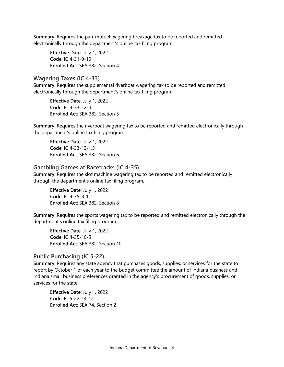**Summary**: Requires the pari-mutuel wagering breakage tax to be reported and remitted electronically through the department's online tax filing program.

**Effective Date**: July 1, 2022 **Code**: IC 4-31-9-10 **Enrolled Act**: SEA 382, Section 4

#### <span id="page-4-0"></span>**Wagering Taxes (IC 4-33)**

**Summary**: Requires the supplemental riverboat wagering tax to be reported and remitted electronically through the department's online tax filing program.

**Effective Date**: July 1, 2022 **Code**: IC 4-33-12-4 **Enrolled Act**: SEA 382, Section 5

**Summary**: Requires the riverboat wagering tax to be reported and remitted electronically through the department's online tax filing program.

**Effective Date**: July 1, 2022 **Code**: IC 4-33-13-1.5 **Enrolled Act**: SEA 382, Section 6

#### <span id="page-4-1"></span>**Gambling Games at Racetracks (IC 4-35)**

**Summary**: Requires the slot machine wagering tax to be reported and remitted electronically through the department's online tax filing program.

**Effective Date**: July 1, 2022 **Code**: IC 4-35-8-1 **Enrolled Act**: SEA 382, Section 8

**Summary**: Requires the sports wagering tax to be reported and remitted electronically through the department's online tax filing program.

**Effective Date**: July 1, 2022 **Code**: IC 4-35-10-5 **Enrolled Act**: SEA 382, Section 10

# <span id="page-4-2"></span>**Public Purchasing (IC 5-22)**

**Summary**: Requires any state agency that purchases goods, supplies, or services for the state to report by October 1 of each year to the budget committee the amount of Indiana business and Indiana small business preferences granted in the agency's procurement of goods, supplies, or services for the state.

**Effective Date**: July 1, 2022 **Code**: IC 5-22-14-12 **Enrolled Act**: SEA 74, Section 2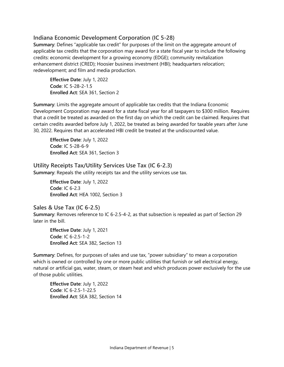# <span id="page-5-0"></span>**Indiana Economic Development Corporation (IC 5-28)**

**Summary**: Defines "applicable tax credit" for purposes of the limit on the aggregate amount of applicable tax credits that the corporation may award for a state fiscal year to include the following credits: economic development for a growing economy (EDGE); community revitalization enhancement district (CRED); Hoosier business investment (HBI); headquarters relocation; redevelopment; and film and media production.

**Effective Date**: July 1, 2022 **Code**: IC 5-28-2-1.5 **Enrolled Act**: SEA 361, Section 2

**Summary**: Limits the aggregate amount of applicable tax credits that the Indiana Economic Development Corporation may award for a state fiscal year for all taxpayers to \$300 million. Requires that a credit be treated as awarded on the first day on which the credit can be claimed. Requires that certain credits awarded before July 1, 2022, be treated as being awarded for taxable years after June 30, 2022. Requires that an accelerated HBI credit be treated at the undiscounted value.

**Effective Date**: July 1, 2022 **Code**: IC 5-28-6-9 **Enrolled Act**: SEA 361, Section 3

<span id="page-5-1"></span>**Utility Receipts Tax/Utility Services Use Tax (IC 6-2.3) Summary**: Repeals the utility receipts tax and the utility services use tax.

> **Effective Date**: July 1, 2022 **Code**: IC 6-2.3 **Enrolled Act**: HEA 1002, Section 3

# <span id="page-5-2"></span>**Sales & Use Tax (IC 6-2.5)**

**Summary**: Removes reference to IC 6-2.5-4-2, as that subsection is repealed as part of Section 29 later in the bill.

**Effective Date**: July 1, 2021 **Code**: IC 6-2.5-1-2 **Enrolled Act**: SEA 382, Section 13

**Summary**: Defines, for purposes of sales and use tax, "power subsidiary" to mean a corporation which is owned or controlled by one or more public utilities that furnish or sell electrical energy, natural or artificial gas, water, steam, or steam heat and which produces power exclusively for the use of those public utilities.

**Effective Date**: July 1, 2022 **Code**: IC 6-2.5-1-22.5 **Enrolled Act**: SEA 382, Section 14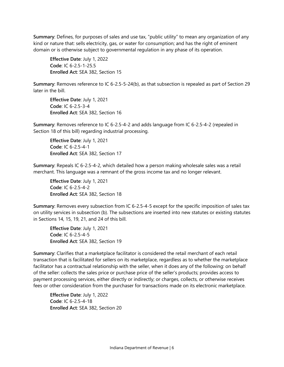**Summary**: Defines, for purposes of sales and use tax, "public utility" to mean any organization of any kind or nature that: sells electricity, gas, or water for consumption; and has the right of eminent domain or is otherwise subject to governmental regulation in any phase of its operation.

**Effective Date**: July 1, 2022 **Code**: IC 6-2.5-1-25.5 **Enrolled Act**: SEA 382, Section 15

**Summary**: Removes reference to IC 6-2.5-5-24(b), as that subsection is repealed as part of Section 29 later in the bill.

**Effective Date**: July 1, 2021 **Code**: IC 6-2.5-3-4 **Enrolled Act**: SEA 382, Section 16

**Summary**: Removes reference to IC 6-2.5-4-2 and adds language from IC 6-2.5-4-2 (repealed in Section 18 of this bill) regarding industrial processing.

**Effective Date**: July 1, 2021 **Code**: IC 6-2.5-4-1 **Enrolled Act**: SEA 382, Section 17

**Summary**: Repeals IC 6-2.5-4-2, which detailed how a person making wholesale sales was a retail merchant. This language was a remnant of the gross income tax and no longer relevant.

**Effective Date**: July 1, 2021 **Code**: IC 6-2.5-4-2 **Enrolled Act**: SEA 382, Section 18

**Summary**: Removes every subsection from IC 6-2.5-4-5 except for the specific imposition of sales tax on utility services in subsection (b). The subsections are inserted into new statutes or existing statutes in Sections 14, 15, 19, 21, and 24 of this bill.

**Effective Date**: July 1, 2021 **Code**: IC 6-2.5-4-5 **Enrolled Act**: SEA 382, Section 19

**Summary**: Clarifies that a marketplace facilitator is considered the retail merchant of each retail transaction that is facilitated for sellers on its marketplace, regardless as to whether the marketplace facilitator has a contractual relationship with the seller, when it does any of the following: on behalf of the seller: collects the sales price or purchase price of the seller's products; provides access to payment processing services, either directly or indirectly; or charges, collects, or otherwise receives fees or other consideration from the purchaser for transactions made on its electronic marketplace.

**Effective Date**: July 1, 2022 **Code**: IC 6-2.5-4-18 **Enrolled Act**: SEA 382, Section 20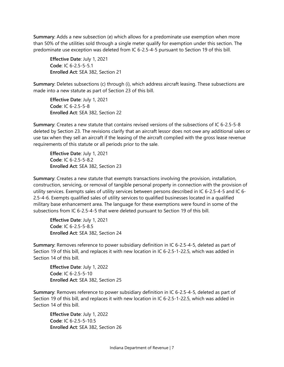**Summary**: Adds a new subsection (e) which allows for a predominate use exemption when more than 50% of the utilities sold through a single meter qualify for exemption under this section. The predominate use exception was deleted from IC 6-2.5-4-5 pursuant to Section 19 of this bill.

**Effective Date**: July 1, 2021 **Code**: IC 6-2.5-5-5.1 **Enrolled Act**: SEA 382, Section 21

**Summary**: Deletes subsections (c) through (i), which address aircraft leasing. These subsections are made into a new statute as part of Section 23 of this bill.

**Effective Date**: July 1, 2021 **Code**: IC 6-2.5-5-8 **Enrolled Act**: SEA 382, Section 22

**Summary**: Creates a new statute that contains revised versions of the subsections of IC 6-2.5-5-8 deleted by Section 23. The revisions clarify that an aircraft lessor does not owe any additional sales or use tax when they sell an aircraft if the leasing of the aircraft complied with the gross lease revenue requirements of this statute or all periods prior to the sale.

**Effective Date**: July 1, 2021 **Code**: IC 6-2.5-5-8.2 **Enrolled Act**: SEA 382, Section 23

**Summary**: Creates a new statute that exempts transactions involving the provision, installation, construction, servicing, or removal of tangible personal property in connection with the provision of utility services. Exempts sales of utility services between persons described in IC 6-2.5-4-5 and IC 6- 2.5-4-6. Exempts qualified sales of utility services to qualified businesses located in a qualified military base enhancement area. The language for these exemptions were found in some of the subsections from IC 6-2.5-4-5 that were deleted pursuant to Section 19 of this bill.

**Effective Date**: July 1, 2021 **Code**: IC 6-2.5-5-8.5 **Enrolled Act**: SEA 382, Section 24

**Summary**: Removes reference to power subsidiary definition in IC 6-2.5-4-5, deleted as part of Section 19 of this bill, and replaces it with new location in IC 6-2.5-1-22.5, which was added in Section 14 of this bill.

**Effective Date**: July 1, 2022 **Code**: IC 6-2.5-5-10 **Enrolled Act**: SEA 382, Section 25

**Summary**: Removes reference to power subsidiary definition in IC 6-2.5-4-5, deleted as part of Section 19 of this bill, and replaces it with new location in IC 6-2.5-1-22.5, which was added in Section 14 of this bill.

**Effective Date**: July 1, 2022 **Code**: IC 6-2.5-5-10.5 **Enrolled Act**: SEA 382, Section 26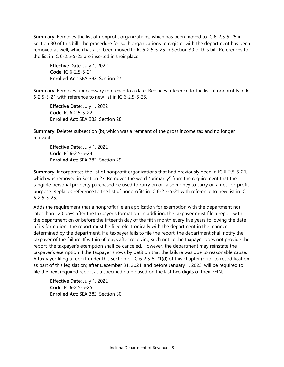**Summary**: Removes the list of nonprofit organizations, which has been moved to IC 6-2.5-5-25 in Section 30 of this bill. The procedure for such organizations to register with the department has been removed as well, which has also been moved to IC 6-2.5-5-25 in Section 30 of this bill. References to the list in IC 6-2.5-5-25 are inserted in their place.

**Effective Date**: July 1, 2022 **Code**: IC 6-2.5-5-21 **Enrolled Act**: SEA 382, Section 27

**Summary**: Removes unnecessary reference to a date. Replaces reference to the list of nonprofits in IC 6-2.5-5-21 with reference to new list in IC 6-2.5-5-25.

**Effective Date**: July 1, 2022 **Code**: IC 6-2.5-5-22 **Enrolled Act**: SEA 382, Section 28

**Summary**: Deletes subsection (b), which was a remnant of the gross income tax and no longer relevant.

**Effective Date**: July 1, 2022 **Code**: IC 6-2.5-5-24 **Enrolled Act**: SEA 382, Section 29

**Summary**: Incorporates the list of nonprofit organizations that had previously been in IC 6-2.5-5-21, which was removed in Section 27. Removes the word "primarily" from the requirement that the tangible personal property purchased be used to carry on or raise money to carry on a not-for-profit purpose. Replaces reference to the list of nonprofits in IC 6-2.5-5-21 with reference to new list in IC 6-2.5-5-25.

Adds the requirement that a nonprofit file an application for exemption with the department not later than 120 days after the taxpayer's formation. In addition, the taxpayer must file a report with the department on or before the fifteenth day of the fifth month every five years following the date of its formation. The report must be filed electronically with the department in the manner determined by the department. If a taxpayer fails to file the report, the department shall notify the taxpayer of the failure. If within 60 days after receiving such notice the taxpayer does not provide the report, the taxpayer's exemption shall be canceled. However, the department may reinstate the taxpayer's exemption if the taxpayer shows by petition that the failure was due to reasonable cause. A taxpayer filing a report under this section or IC 6-2.5-5-21(d) of this chapter (prior to recodification as part of this legislation) after December 31, 2021, and before January 1, 2023, will be required to file the next required report at a specified date based on the last two digits of their FEIN.

**Effective Date**: July 1, 2022 **Code**: IC 6-2.5-5-25 **Enrolled Act**: SEA 382, Section 30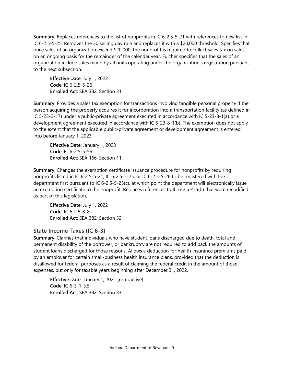**Summary**: Replaces references to the list of nonprofits in IC 6-2.5-5-21 with references to new list in IC 6-2.5-5-25. Removes the 30 selling day rule and replaces it with a \$20,000 threshold. Specifies that once sales of an organization exceed \$20,000, the nonprofit is required to collect sales tax on sales on an ongoing basis for the remainder of the calendar year. Further specifies that the sales of an organization include sales made by all units operating under the organization's registration pursuant to the next subsection.

**Effective Date**: July 1, 2022 **Code**: IC 6-2.5-5-26 **Enrolled Act**: SEA 382, Section 31

**Summary**: Provides a sales tax exemption for transactions involving tangible personal property if the person acquiring the property acquires it for incorporation into a transportation facility (as defined in IC 5-23-2-17) under a public-private agreement executed in accordance with IC 5-23-8-1(a) or a development agreement executed in accordance with IC 5-23-8-1(b). The exemption does not apply to the extent that the applicable public-private agreement or development agreement is entered into before January 1, 2023.

**Effective Date**: January 1, 2023 **Code**: IC 6-2.5-5-56 **Enrolled Act**: SEA 166, Section 11

**Summary**: Changes the exemption certificate issuance procedure for nonprofits by requiring nonprofits listed in IC 6-2.5-5-21, IC 6-2.5-5-25, or IC 6-2.5-5-26 to be registered with the department first pursuant to IC 6-2.5-5-25(c), at which point the department will electronically issue an exemption certificate to the nonprofit. Replaces references to IC 6-2.5-4-5(b) that were recodified as part of this legislation.

**Effective Date**: July 1, 2022 **Code**: IC 6-2.5-8-8 **Enrolled Act**: SEA 382, Section 32

# <span id="page-9-0"></span>**State Income Taxes (IC 6-3)**

**Summary**: Clarifies that individuals who have student loans discharged due to death, total and permanent disability of the borrower, or bankruptcy are not required to add back the amounts of student loans discharged for those reasons. Allows a deduction for health insurance premiums paid by an employer for certain small-business health insurance plans, provided that the deduction is disallowed for federal purposes as a result of claiming the federal credit in the amount of those expenses, but only for taxable years beginning after December 31, 2022.

**Effective Date**: January 1, 2021 (retroactive) **Code**: IC 6-3-1-3.5 **Enrolled Act**: SEA 382, Section 33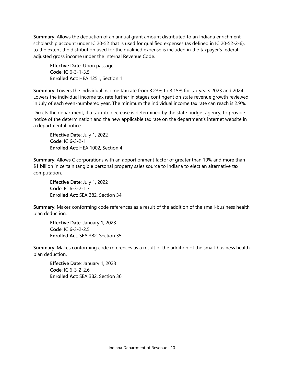**Summary**: Allows the deduction of an annual grant amount distributed to an Indiana enrichment scholarship account under IC 20-52 that is used for qualified expenses (as defined in IC 20-52-2-6), to the extent the distribution used for the qualified expense is included in the taxpayer's federal adjusted gross income under the Internal Revenue Code.

**Effective Date**: Upon passage **Code**: IC 6-3-1-3.5 **Enrolled Act**: HEA 1251, Section 1

**Summary**: Lowers the individual income tax rate from 3.23% to 3.15% for tax years 2023 and 2024. Lowers the individual income tax rate further in stages contingent on state revenue growth reviewed in July of each even-numbered year. The minimum the individual income tax rate can reach is 2.9%.

Directs the department, if a tax rate decrease is determined by the state budget agency, to provide notice of the determination and the new applicable tax rate on the department's internet website in a departmental notice.

**Effective Date**: July 1, 2022 **Code**: IC 6-3-2-1 **Enrolled Act**: HEA 1002, Section 4

**Summary**: Allows C corporations with an apportionment factor of greater than 10% and more than \$1 billion in certain tangible personal property sales source to Indiana to elect an alternative tax computation.

**Effective Date**: July 1, 2022 **Code**: IC 6-3-2-1.7 **Enrolled Act**: SEA 382, Section 34

**Summary**: Makes conforming code references as a result of the addition of the small-business health plan deduction.

**Effective Date**: January 1, 2023 **Code**: IC 6-3-2-2.5 **Enrolled Act**: SEA 382, Section 35

**Summary**: Makes conforming code references as a result of the addition of the small-business health plan deduction.

**Effective Date**: January 1, 2023 **Code**: IC 6-3-2-2.6 **Enrolled Act**: SEA 382, Section 36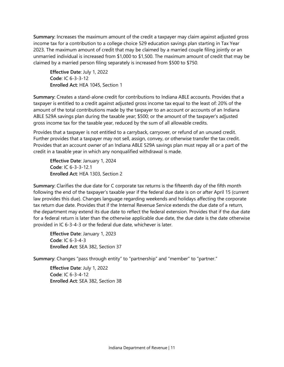**Summary**: Increases the maximum amount of the credit a taxpayer may claim against adjusted gross income tax for a contribution to a college choice 529 education savings plan starting in Tax Year 2023. The maximum amount of credit that may be claimed by a married couple filing jointly or an unmarried individual is increased from \$1,000 to \$1,500. The maximum amount of credit that may be claimed by a married person filing separately is increased from \$500 to \$750.

**Effective Date**: July 1, 2022 **Code**: IC 6-3-3-12 **Enrolled Act**: HEA 1045, Section 1

**Summary**: Creates a stand-alone credit for contributions to Indiana ABLE accounts. Provides that a taxpayer is entitled to a credit against adjusted gross income tax equal to the least of: 20% of the amount of the total contributions made by the taxpayer to an account or accounts of an Indiana ABLE 529A savings plan during the taxable year; \$500; or the amount of the taxpayer's adjusted gross income tax for the taxable year, reduced by the sum of all allowable credits.

Provides that a taxpayer is not entitled to a carryback, carryover, or refund of an unused credit. Further provides that a taxpayer may not sell, assign, convey, or otherwise transfer the tax credit. Provides that an account owner of an Indiana ABLE 529A savings plan must repay all or a part of the credit in a taxable year in which any nonqualified withdrawal is made.

**Effective Date**: January 1, 2024 **Code**: IC 6-3-3-12.1 **Enrolled Act**: HEA 1303, Section 2

**Summary**: Clarifies the due date for C corporate tax returns is the fifteenth day of the fifth month following the end of the taxpayer's taxable year if the federal due date is on or after April 15 (current law provides this due). Changes language regarding weekends and holidays affecting the corporate tax return due date. Provides that if the Internal Revenue Service extends the due date of a return, the department may extend its due date to reflect the federal extension. Provides that if the due date for a federal return is later than the otherwise applicable due date, the due date is the date otherwise provided in IC 6-3-4-3 or the federal due date, whichever is later.

**Effective Date**: January 1, 2023 **Code**: IC 6-3-4-3 **Enrolled Act**: SEA 382, Section 37

**Summary**: Changes "pass through entity" to "partnership" and "member" to "partner."

**Effective Date**: July 1, 2022 **Code**: IC 6-3-4-12 **Enrolled Act**: SEA 382, Section 38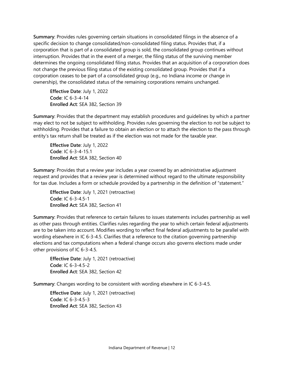**Summary**: Provides rules governing certain situations in consolidated filings in the absence of a specific decision to change consolidated/non-consolidated filing status. Provides that, if a corporation that is part of a consolidated group is sold, the consolidated group continues without interruption. Provides that in the event of a merger, the filing status of the surviving member determines the ongoing consolidated filing status. Provides that an acquisition of a corporation does not change the previous filing status of the existing consolidated group. Provides that if a corporation ceases to be part of a consolidated group (e.g., no Indiana income or change in ownership), the consolidated status of the remaining corporations remains unchanged.

**Effective Date**: July 1, 2022 **Code**: IC 6-3-4-14 **Enrolled Act**: SEA 382, Section 39

**Summary**: Provides that the department may establish procedures and guidelines by which a partner may elect to not be subject to withholding. Provides rules governing the election to not be subject to withholding. Provides that a failure to obtain an election or to attach the election to the pass through entity's tax return shall be treated as if the election was not made for the taxable year.

**Effective Date**: July 1, 2022 **Code**: IC 6-3-4-15.1 **Enrolled Act**: SEA 382, Section 40

**Summary**: Provides that a review year includes a year covered by an administrative adjustment request and provides that a review year is determined without regard to the ultimate responsibility for tax due. Includes a form or schedule provided by a partnership in the definition of "statement."

**Effective Date**: July 1, 2021 (retroactive) **Code**: IC 6-3-4.5-1 **Enrolled Act**: SEA 382, Section 41

**Summary**: Provides that reference to certain failures to issues statements includes partnership as well as other pass through entities. Clarifies rules regarding the year to which certain federal adjustments are to be taken into account. Modifies wording to reflect final federal adjustments to be parallel with wording elsewhere in IC 6-3-4.5. Clarifies that a reference to the citation governing partnership elections and tax computations when a federal change occurs also governs elections made under other provisions of IC 6-3-4.5.

**Effective Date**: July 1, 2021 (retroactive) **Code**: IC 6-3-4.5-2 **Enrolled Act**: SEA 382, Section 42

**Summary**: Changes wording to be consistent with wording elsewhere in IC 6-3-4.5.

**Effective Date**: July 1, 2021 (retroactive) **Code**: IC 6-3-4.5-3 **Enrolled Act**: SEA 382, Section 43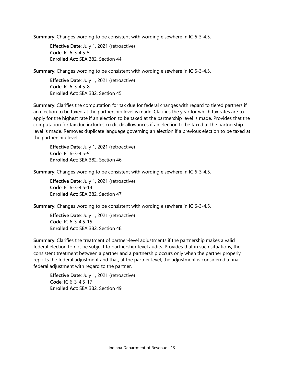**Summary**: Changes wording to be consistent with wording elsewhere in IC 6-3-4.5.

**Effective Date**: July 1, 2021 (retroactive) **Code**: IC 6-3-4.5-5 **Enrolled Act**: SEA 382, Section 44

**Summary**: Changes wording to be consistent with wording elsewhere in IC 6-3-4.5.

**Effective Date**: July 1, 2021 (retroactive) **Code**: IC 6-3-4.5-8 **Enrolled Act**: SEA 382, Section 45

**Summary**: Clarifies the computation for tax due for federal changes with regard to tiered partners if an election to be taxed at the partnership level is made. Clarifies the year for which tax rates are to apply for the highest rate if an election to be taxed at the partnership level is made. Provides that the computation for tax due includes credit disallowances if an election to be taxed at the partnership level is made. Removes duplicate language governing an election if a previous election to be taxed at the partnership level.

**Effective Date**: July 1, 2021 (retroactive) **Code**: IC 6-3-4.5-9 **Enrolled Act**: SEA 382, Section 46

**Summary**: Changes wording to be consistent with wording elsewhere in IC 6-3-4.5.

**Effective Date**: July 1, 2021 (retroactive) **Code**: IC 6-3-4.5-14 **Enrolled Act**: SEA 382, Section 47

**Summary**: Changes wording to be consistent with wording elsewhere in IC 6-3-4.5.

**Effective Date**: July 1, 2021 (retroactive) **Code**: IC 6-3-4.5-15 **Enrolled Act**: SEA 382, Section 48

**Summary**: Clarifies the treatment of partner-level adjustments if the partnership makes a valid federal election to not be subject to partnership-level audits. Provides that in such situations, the consistent treatment between a partner and a partnership occurs only when the partner properly reports the federal adjustment and that, at the partner level, the adjustment is considered a final federal adjustment with regard to the partner.

**Effective Date**: July 1, 2021 (retroactive) **Code**: IC 6-3-4.5-17 **Enrolled Act**: SEA 382, Section 49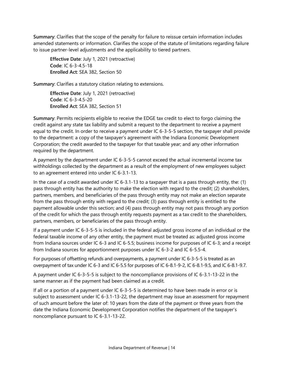**Summary**: Clarifies that the scope of the penalty for failure to reissue certain information includes amended statements or information. Clarifies the scope of the statute of limitations regarding failure to issue partner-level adjustments and the applicability to tiered partners.

**Effective Date**: July 1, 2021 (retroactive) **Code**: IC 6-3-4.5-18 **Enrolled Act**: SEA 382, Section 50

**Summary**: Clarifies a statutory citation relating to extensions.

**Effective Date**: July 1, 2021 (retroactive) **Code**: IC 6-3-4.5-20 **Enrolled Act**: SEA 382, Section 51

**Summary**: Permits recipients eligible to receive the EDGE tax credit to elect to forgo claiming the credit against any state tax liability and submit a request to the department to receive a payment equal to the credit. In order to receive a payment under IC 6-3-5-5 section, the taxpayer shall provide to the department: a copy of the taxpayer's agreement with the Indiana Economic Development Corporation; the credit awarded to the taxpayer for that taxable year; and any other information required by the department.

A payment by the department under IC 6-3-5-5 cannot exceed the actual incremental income tax withholdings collected by the department as a result of the employment of new employees subject to an agreement entered into under IC 6-3.1-13.

In the case of a credit awarded under IC 6-3.1-13 to a taxpayer that is a pass through entity, the: (1) pass through entity has the authority to make the election with regard to the credit; (2) shareholders, partners, members, and beneficiaries of the pass through entity may not make an election separate from the pass through entity with regard to the credit; (3) pass through entity is entitled to the payment allowable under this section; and (4) pass through entity may not pass through any portion of the credit for which the pass through entity requests payment as a tax credit to the shareholders, partners, members, or beneficiaries of the pass through entity.

If a payment under IC 6-3-5-5 is included in the federal adjusted gross income of an individual or the federal taxable income of any other entity, the payment must be treated as: adjusted gross income from Indiana sources under IC 6-3 and IC 6-5.5; business income for purposes of IC 6-3; and a receipt from Indiana sources for apportionment purposes under IC 6-3-2 and IC 6-5.5-4.

For purposes of offsetting refunds and overpayments, a payment under IC 6-3-5-5 is treated as an overpayment of tax under IC 6-3 and IC 6-5.5 for purposes of IC 6-8.1-9-2, IC 6-8.1-9.5, and IC 6-8.1-9.7.

A payment under IC 6-3-5-5 is subject to the noncompliance provisions of IC 6-3.1-13-22 in the same manner as if the payment had been claimed as a credit.

If all or a portion of a payment under IC 6-3-5-5 is determined to have been made in error or is subject to assessment under IC 6-3.1-13-22, the department may issue an assessment for repayment of such amount before the later of: 10 years from the date of the payment or three years from the date the Indiana Economic Development Corporation notifies the department of the taxpayer's noncompliance pursuant to IC 6-3.1-13-22.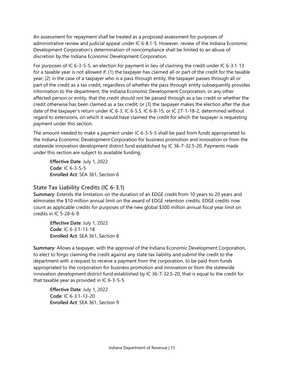An assessment for repayment shall be treated as a proposed assessment for purposes of administrative review and judicial appeal under IC 6-8.1-5. However, review of the Indiana Economic Development Corporation's determination of noncompliance shall be limited to an abuse of discretion by the Indiana Economic Development Corporation.

For purposes of IC 6-3-5-5, an election for payment in lieu of claiming the credit under IC 6-3.1-13 for a taxable year is not allowed if: (1) the taxpayer has claimed all or part of the credit for the taxable year; (2) in the case of a taxpayer who is a pass through entity, the taxpayer passes through all or part of the credit as a tax credit, regardless of whether the pass through entity subsequently provides information to the department, the Indiana Economic Development Corporation, or any other affected person or entity, that the credit should not be passed through as a tax credit or whether the credit otherwise has been claimed as a tax credit; or (3) the taxpayer makes the election after the due date of the taxpayer's return under IC 6-3, IC 6-5.5, IC 6-8-15, or IC 27-1-18-2, determined without regard to extensions, on which it would have claimed the credit for which the taxpayer is requesting payment under this section.

The amount needed to make a payment under IC 6-3-5-5 shall be paid from funds appropriated to the Indiana Economic Development Corporation for business promotion and innovation or from the statewide innovation development district fund established by IC 36-7-32.5-20. Payments made under this section are subject to available funding.

**Effective Date**: July 1, 2022 **Code**: IC 6-3-5-5 **Enrolled Act**: SEA 361, Section 6

# <span id="page-15-0"></span>**State Tax Liability Credits (IC 6-3.1)**

**Summary**: Extends the limitation on the duration of an EDGE credit from 10 years to 20 years and eliminates the \$10 million annual limit on the award of EDGE retention credits. EDGE credits now count as applicable credits for purposes of the new global \$300 million annual fiscal year limit on credits in IC 5-28-6-9.

**Effective Date**: July 1, 2022 **Code**: IC 6-3.1-13-18 **Enrolled Act**: SEA 361, Section 8

**Summary**: Allows a taxpayer, with the approval of the Indiana Economic Development Corporation, to elect to forgo claiming the credit against any state tax liability and submit the credit to the department with a request to receive a payment from the corporation, to be paid from funds appropriated to the corporation for business promotion and innovation or from the statewide innovation development district fund established by IC 36-7-32.5-20, that is equal to the credit for that taxable year as provided in IC 6-3-5-5.

**Effective Date**: July 1, 2022 **Code**: IC 6-3.1-13-20 **Enrolled Act**: SEA 361, Section 9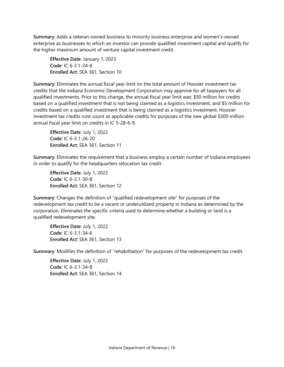**Summary**: Adds a veteran-owned business to minority business enterprise and women's-owned enterprise as businesses to which an investor can provide qualified investment capital and qualify for the higher maximum amount of venture capital investment credit.

**Effective Date**: January 1, 2023 **Code**: IC 6-3.1-24-8 **Enrolled Act**: SEA 361, Section 10

**Summary**: Eliminates the annual fiscal year limit on the total amount of Hoosier investment tax credits that the Indiana Economic Development Corporation may approve for all taxpayers for all qualified investments. Prior to this change, the annual fiscal year limit was: \$50 million for credits based on a qualified investment that is not being claimed as a logistics investment; and \$5 million for credits based on a qualified investment that is being claimed as a logistics investment. Hoosier investment tax credits now count as applicable credits for purposes of the new global \$300 million annual fiscal year limit on credits in IC 5-28-6-9.

**Effective Date**: July 1, 2022 **Code**: IC 6-3.1-26-20 **Enrolled Act**: SEA 361, Section 11

**Summary**: Eliminates the requirement that a business employ a certain number of Indiana employees in order to qualify for the headquarters relocation tax credit.

**Effective Date**: July 1, 2022 **Code**: IC 6-3.1-30-8 **Enrolled Act**: SEA 361, Section 12

**Summary**: Changes the definition of "qualified redevelopment site" for purposes of the redevelopment tax credit to be a vacant or underutilized property in Indiana as determined by the corporation. Eliminates the specific criteria used to determine whether a building or land is a qualified redevelopment site.

**Effective Date**: July 1, 2022 **Code**: IC 6-3.1-34-6 **Enrolled Act**: SEA 361, Section 13

**Summary**: Modifies the definition of "rehabilitation" for purposes of the redevelopment tax credit.

**Effective Date**: July 1, 2022 **Code**: IC 6-3.1-34-8 **Enrolled Act**: SEA 361, Section 14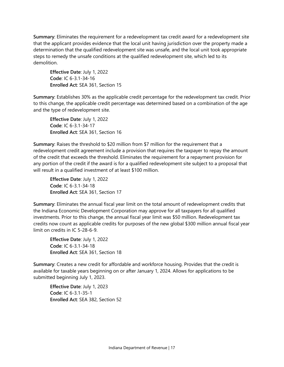**Summary**: Eliminates the requirement for a redevelopment tax credit award for a redevelopment site that the applicant provides evidence that the local unit having jurisdiction over the property made a determination that the qualified redevelopment site was unsafe, and the local unit took appropriate steps to remedy the unsafe conditions at the qualified redevelopment site, which led to its demolition.

**Effective Date**: July 1, 2022 **Code**: IC 6-3.1-34-16 **Enrolled Act**: SEA 361, Section 15

**Summary**: Establishes 30% as the applicable credit percentage for the redevelopment tax credit. Prior to this change, the applicable credit percentage was determined based on a combination of the age and the type of redevelopment site.

**Effective Date**: July 1, 2022 **Code**: IC 6-3.1-34-17 **Enrolled Act**: SEA 361, Section 16

**Summary**: Raises the threshold to \$20 million from \$7 million for the requirement that a redevelopment credit agreement include a provision that requires the taxpayer to repay the amount of the credit that exceeds the threshold. Eliminates the requirement for a repayment provision for any portion of the credit if the award is for a qualified redevelopment site subject to a proposal that will result in a qualified investment of at least \$100 million.

**Effective Date**: July 1, 2022 **Code**: IC 6-3.1-34-18 **Enrolled Act**: SEA 361, Section 17

**Summary**: Eliminates the annual fiscal year limit on the total amount of redevelopment credits that the Indiana Economic Development Corporation may approve for all taxpayers for all qualified investments. Prior to this change, the annual fiscal year limit was \$50 million. Redevelopment tax credits now count as applicable credits for purposes of the new global \$300 million annual fiscal year limit on credits in IC 5-28-6-9.

**Effective Date**: July 1, 2022 **Code**: IC 6-3.1-34-18 **Enrolled Act**: SEA 361, Section 18

**Summary**: Creates a new credit for affordable and workforce housing. Provides that the credit is available for taxable years beginning on or after January 1, 2024. Allows for applications to be submitted beginning July 1, 2023.

**Effective Date**: July 1, 2023 **Code**: IC 6-3.1-35-1 **Enrolled Act**: SEA 382, Section 52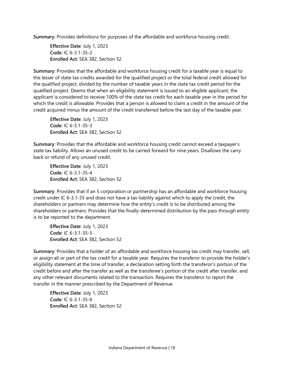**Summary**: Provides definitions for purposes of the affordable and workforce housing credit.

**Effective Date**: July 1, 2023 **Code**: IC 6-3.1-35-2 **Enrolled Act**: SEA 382, Section 52

**Summary**: Provides that the affordable and workforce housing credit for a taxable year is equal to the lesser of state tax credits awarded for the qualified project or the total federal credit allowed for the qualified project, divided by the number of taxable years in the state tax credit period for the qualified project. Deems that when an eligibility statement is issued to an eligible applicant, the applicant is considered to receive 100% of the state tax credit for each taxable year in the period for which the credit is allowable. Provides that a person is allowed to claim a credit in the amount of the credit acquired minus the amount of the credit transferred before the last day of the taxable year.

**Effective Date**: July 1, 2023 **Code**: IC 6-3.1-35-3 **Enrolled Act**: SEA 382, Section 52

**Summary**: Provides that the affordable and workforce housing credit cannot exceed a taxpayer's state tax liability. Allows an unused credit to be carried forward for nine years. Disallows the carry back or refund of any unused credit.

**Effective Date**: July 1, 2023 **Code**: IC 6-3.1-35-4 **Enrolled Act**: SEA 382, Section 52

**Summary**: Provides that if an S corporation or partnership has an affordable and workforce housing credit under IC 6-3.1-35 and does not have a tax liability against which to apply the credit, the shareholders or partners may determine how the entity's credit is to be distributed among the shareholders or partners. Provides that the finally-determined distribution by the pass through entity is to be reported to the department.

**Effective Date**: July 1, 2023 **Code**: IC 6-3.1-35-5 **Enrolled Act**: SEA 382, Section 52

**Summary**: Provides that a holder of an affordable and workforce housing tax credit may transfer, sell, or assign all or part of the tax credit for a taxable year. Requires the transferor to provide the holder's eligibility statement at the time of transfer, a declaration setting forth the transferor's portion of the credit before and after the transfer as well as the transferee's portion of the credit after transfer, and any other relevant documents related to the transaction. Requires the transferor to report the transfer in the manner prescribed by the Department of Revenue.

**Effective Date**: July 1, 2023 **Code**: IC 6-3.1-35-6 **Enrolled Act**: SEA 382, Section 52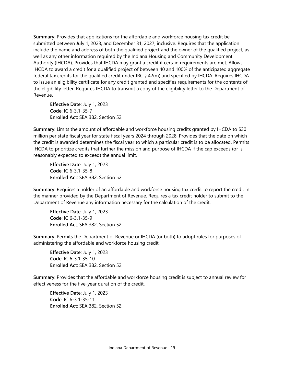**Summary**: Provides that applications for the affordable and workforce housing tax credit be submitted between July 1, 2023, and December 31, 2027, inclusive. Requires that the application include the name and address of both the qualified project and the owner of the qualified project, as well as any other information required by the Indiana Housing and Community Development Authority (IHCDA). Provides that IHCDA may grant a credit if certain requirements are met. Allows IHCDA to award a credit for a qualified project of between 40 and 100% of the anticipated aggregate federal tax credits for the qualified credit under IRC § 42(m) and specified by IHCDA. Requires IHCDA to issue an eligibility certificate for any credit granted and specifies requirements for the contents of the eligibility letter. Requires IHCDA to transmit a copy of the eligibility letter to the Department of Revenue.

**Effective Date**: July 1, 2023 **Code**: IC 6-3.1-35-7 **Enrolled Act**: SEA 382, Section 52

**Summary**: Limits the amount of affordable and workforce housing credits granted by IHCDA to \$30 million per state fiscal year for state fiscal years 2024 through 2028. Provides that the date on which the credit is awarded determines the fiscal year to which a particular credit is to be allocated. Permits IHCDA to prioritize credits that further the mission and purpose of IHCDA if the cap exceeds (or is reasonably expected to exceed) the annual limit.

**Effective Date**: July 1, 2023 **Code**: IC 6-3.1-35-8 **Enrolled Act**: SEA 382, Section 52

**Summary**: Requires a holder of an affordable and workforce housing tax credit to report the credit in the manner provided by the Department of Revenue. Requires a tax credit holder to submit to the Department of Revenue any information necessary for the calculation of the credit.

**Effective Date**: July 1, 2023 **Code**: IC 6-3.1-35-9 **Enrolled Act**: SEA 382, Section 52

**Summary**: Permits the Department of Revenue or IHCDA (or both) to adopt rules for purposes of administering the affordable and workforce housing credit.

**Effective Date**: July 1, 2023 **Code**: IC 6-3.1-35-10 **Enrolled Act**: SEA 382, Section 52

**Summary**: Provides that the affordable and workforce housing credit is subject to annual review for effectiveness for the five-year duration of the credit.

**Effective Date**: July 1, 2023 **Code**: IC 6-3.1-35-11 **Enrolled Act**: SEA 382, Section 52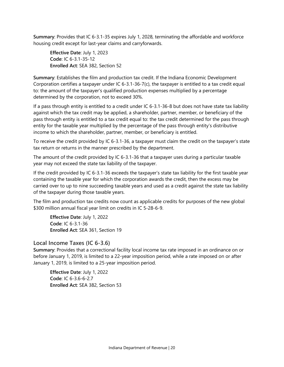**Summary**: Provides that IC 6-3.1-35 expires July 1, 2028, terminating the affordable and workforce housing credit except for last-year claims and carryforwards.

**Effective Date**: July 1, 2023 **Code**: IC 6-3.1-35-12 **Enrolled Act**: SEA 382, Section 52

**Summary**: Establishes the film and production tax credit. If the Indiana Economic Development Corporation certifies a taxpayer under IC 6-3.1-36-7(c), the taxpayer is entitled to a tax credit equal to: the amount of the taxpayer's qualified production expenses multiplied by a percentage determined by the corporation, not to exceed 30%.

If a pass through entity is entitled to a credit under IC 6-3.1-36-8 but does not have state tax liability against which the tax credit may be applied, a shareholder, partner, member, or beneficiary of the pass through entity is entitled to a tax credit equal to: the tax credit determined for the pass through entity for the taxable year multiplied by the percentage of the pass through entity's distributive income to which the shareholder, partner, member, or beneficiary is entitled.

To receive the credit provided by IC 6-3.1-36, a taxpayer must claim the credit on the taxpayer's state tax return or returns in the manner prescribed by the department.

The amount of the credit provided by IC 6-3.1-36 that a taxpayer uses during a particular taxable year may not exceed the state tax liability of the taxpayer.

If the credit provided by IC 6-3.1-36 exceeds the taxpayer's state tax liability for the first taxable year containing the taxable year for which the corporation awards the credit, then the excess may be carried over to up to nine succeeding taxable years and used as a credit against the state tax liability of the taxpayer during those taxable years.

The film and production tax credits now count as applicable credits for purposes of the new global \$300 million annual fiscal year limit on credits in IC 5-28-6-9.

**Effective Date**: July 1, 2022 **Code**: IC 6-3.1-36 **Enrolled Act**: SEA 361, Section 19

# <span id="page-20-0"></span>**Local Income Taxes (IC 6-3.6)**

**Summary**: Provides that a correctional facility local income tax rate imposed in an ordinance on or before January 1, 2019, is limited to a 22-year imposition period, while a rate imposed on or after January 1, 2019, is limited to a 25-year imposition period.

**Effective Date**: July 1, 2022 **Code**: IC 6-3.6-6-2.7 **Enrolled Act**: SEA 382, Section 53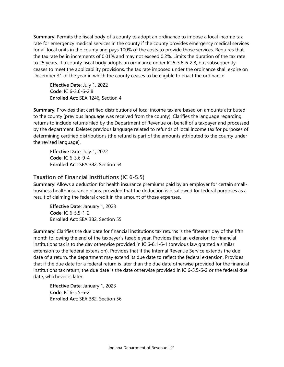**Summary**: Permits the fiscal body of a county to adopt an ordinance to impose a local income tax rate for emergency medical services in the county if the county provides emergency medical services for all local units in the county and pays 100% of the costs to provide those services. Requires that the tax rate be in increments of 0.01% and may not exceed 0.2%. Limits the duration of the tax rate to 25 years. If a county fiscal body adopts an ordinance under IC 6-3.6-6-2.8, but subsequently ceases to meet the applicability provisions, the tax rate imposed under the ordinance shall expire on December 31 of the year in which the county ceases to be eligible to enact the ordinance.

**Effective Date**: July 1, 2022 **Code**: IC 6-3.6-6-2.8 **Enrolled Act**: SEA 1246, Section 4

**Summary**: Provides that certified distributions of local income tax are based on amounts attributed to the county (previous language was received from the county). Clarifies the language regarding returns to include returns filed by the Department of Revenue on behalf of a taxpayer and processed by the department. Deletes previous language related to refunds of local income tax for purposes of determining certified distributions (the refund is part of the amounts attributed to the county under the revised language).

**Effective Date**: July 1, 2022 **Code**: IC 6-3.6-9-4 **Enrolled Act**: SEA 382, Section 54

# <span id="page-21-0"></span>**Taxation of Financial Institutions (IC 6-5.5)**

**Summary**: Allows a deduction for health insurance premiums paid by an employer for certain smallbusiness health insurance plans, provided that the deduction is disallowed for federal purposes as a result of claiming the federal credit in the amount of those expenses.

**Effective Date**: January 1, 2023 **Code**: IC 6-5.5-1-2 **Enrolled Act**: SEA 382, Section 55

**Summary**: Clarifies the due date for financial institutions tax returns is the fifteenth day of the fifth month following the end of the taxpayer's taxable year. Provides that an extension for financial institutions tax is to the day otherwise provided in IC 6-8.1-6-1 (previous law granted a similar extension to the federal extension). Provides that if the Internal Revenue Service extends the due date of a return, the department may extend its due date to reflect the federal extension. Provides that if the due date for a federal return is later than the due date otherwise provided for the financial institutions tax return, the due date is the date otherwise provided in IC 6-5.5-6-2 or the federal due date, whichever is later.

**Effective Date**: January 1, 2023 **Code**: IC 6-5.5-6-2 **Enrolled Act**: SEA 382, Section 56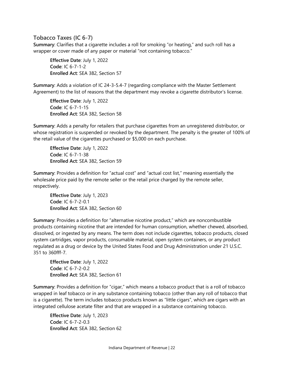# <span id="page-22-0"></span>**Tobacco Taxes (IC 6-7)**

**Summary**: Clarifies that a cigarette includes a roll for smoking "or heating," and such roll has a wrapper or cover made of any paper or material "not containing tobacco."

**Effective Date**: July 1, 2022 **Code**: IC 6-7-1-2 **Enrolled Act**: SEA 382, Section 57

**Summary**: Adds a violation of IC 24-3-5.4-7 (regarding compliance with the Master Settlement Agreement) to the list of reasons that the department may revoke a cigarette distributor's license.

**Effective Date**: July 1, 2022 **Code**: IC 6-7-1-15 **Enrolled Act**: SEA 382, Section 58

**Summary**: Adds a penalty for retailers that purchase cigarettes from an unregistered distributor, or whose registration is suspended or revoked by the department. The penalty is the greater of 100% of the retail value of the cigarettes purchased or \$5,000 on each purchase.

**Effective Date**: July 1, 2022 **Code**: IC 6-7-1-38 **Enrolled Act**: SEA 382, Section 59

**Summary**: Provides a definition for "actual cost" and "actual cost list," meaning essentially the wholesale price paid by the remote seller or the retail price charged by the remote seller, respectively.

**Effective Date**: July 1, 2023 **Code**: IC 6-7-2-0.1 **Enrolled Act**: SEA 382, Section 60

**Summary**: Provides a definition for "alternative nicotine product," which are noncombustible products containing nicotine that are intended for human consumption, whether chewed, absorbed, dissolved, or ingested by any means. The term does not include cigarettes, tobacco products, closed system cartridges, vapor products, consumable material, open system containers, or any product regulated as a drug or device by the United States Food and Drug Administration under 21 U.S.C. 351 to 360fff-7.

**Effective Date**: July 1, 2022 **Code**: IC 6-7-2-0.2 **Enrolled Act**: SEA 382, Section 61

**Summary**: Provides a definition for "cigar," which means a tobacco product that is a roll of tobacco wrapped in leaf tobacco or in any substance containing tobacco (other than any roll of tobacco that is a cigarette). The term includes tobacco products known as "little cigars", which are cigars with an integrated cellulose acetate filter and that are wrapped in a substance containing tobacco.

**Effective Date**: July 1, 2023 **Code**: IC 6-7-2-0.3 **Enrolled Act**: SEA 382, Section 62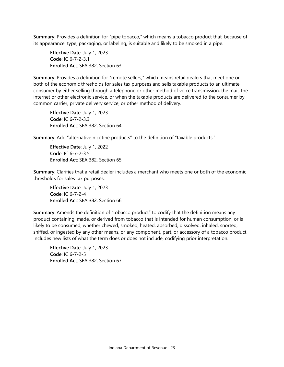**Summary**: Provides a definition for "pipe tobacco," which means a tobacco product that, because of its appearance, type, packaging, or labeling, is suitable and likely to be smoked in a pipe.

**Effective Date**: July 1, 2023 **Code**: IC 6-7-2-3.1 **Enrolled Act**: SEA 382, Section 63

**Summary**: Provides a definition for "remote sellers," which means retail dealers that meet one or both of the economic thresholds for sales tax purposes and sells taxable products to an ultimate consumer by either selling through a telephone or other method of voice transmission, the mail, the internet or other electronic service, or when the taxable products are delivered to the consumer by common carrier, private delivery service, or other method of delivery.

**Effective Date**: July 1, 2023 **Code**: IC 6-7-2-3.3 **Enrolled Act**: SEA 382, Section 64

**Summary**: Add "alternative nicotine products" to the definition of "taxable products."

**Effective Date**: July 1, 2022 **Code**: IC 6-7-2-3.5 **Enrolled Act**: SEA 382, Section 65

**Summary**: Clarifies that a retail dealer includes a merchant who meets one or both of the economic thresholds for sales tax purposes.

**Effective Date**: July 1, 2023 **Code**: IC 6-7-2-4 **Enrolled Act**: SEA 382, Section 66

**Summary**: Amends the definition of "tobacco product" to codify that the definition means any product containing, made, or derived from tobacco that is intended for human consumption, or is likely to be consumed, whether chewed, smoked, heated, absorbed, dissolved, inhaled, snorted, sniffed, or ingested by any other means, or any component, part, or accessory of a tobacco product. Includes new lists of what the term does or does not include, codifying prior interpretation.

**Effective Date**: July 1, 2023 **Code**: IC 6-7-2-5 **Enrolled Act**: SEA 382, Section 67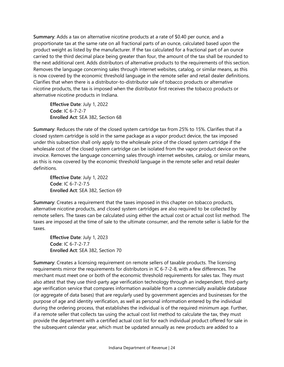**Summary**: Adds a tax on alternative nicotine products at a rate of \$0.40 per ounce, and a proportionate tax at the same rate on all fractional parts of an ounce, calculated based upon the product weight as listed by the manufacturer. If the tax calculated for a fractional part of an ounce carried to the third decimal place being greater than four, the amount of the tax shall be rounded to the next additional cent. Adds distributors of alternative products to the requirements of this section. Removes the language concerning sales through internet websites, catalog, or similar means, as this is now covered by the economic threshold language in the remote seller and retail dealer definitions. Clarifies that when there is a distributor-to-distributor sale of tobacco products or alternative nicotine products, the tax is imposed when the distributor first receives the tobacco products or alternative nicotine products in Indiana.

**Effective Date**: July 1, 2022 **Code**: IC 6-7-2-7 **Enrolled Act**: SEA 382, Section 68

**Summary**: Reduces the rate of the closed system cartridge tax from 25% to 15%. Clarifies that if a closed system cartridge is sold in the same package as a vapor product device, the tax imposed under this subsection shall only apply to the wholesale price of the closed system cartridge if the wholesale cost of the closed system cartridge can be isolated from the vapor product device on the invoice. Removes the language concerning sales through internet websites, catalog, or similar means, as this is now covered by the economic threshold language in the remote seller and retail dealer definitions.

**Effective Date**: July 1, 2022 **Code**: IC 6-7-2-7.5 **Enrolled Act**: SEA 382, Section 69

**Summary**: Creates a requirement that the taxes imposed in this chapter on tobacco products, alternative nicotine products, and closed system cartridges are also required to be collected by remote sellers. The taxes can be calculated using either the actual cost or actual cost list method. The taxes are imposed at the time of sale to the ultimate consumer, and the remote seller is liable for the taxes.

**Effective Date**: July 1, 2023 **Code**: IC 6-7-2-7.7 **Enrolled Act**: SEA 382, Section 70

**Summary**: Creates a licensing requirement on remote sellers of taxable products. The licensing requirements mirror the requirements for distributors in IC 6-7-2-8, with a few differences. The merchant must meet one or both of the economic threshold requirements for sales tax. They must also attest that they use third-party age verification technology through an independent, third-party age verification service that compares information available from a commercially available database (or aggregate of data bases) that are regularly used by government agencies and businesses for the purpose of age and identity verification, as well as personal information entered by the individual during the ordering process, that establishes the individual is of the required minimum age. Further, if a remote seller that collects tax using the actual cost list method to calculate the tax, they must provide the department with a certified actual cost list for each individual product offered for sale in the subsequent calendar year, which must be updated annually as new products are added to a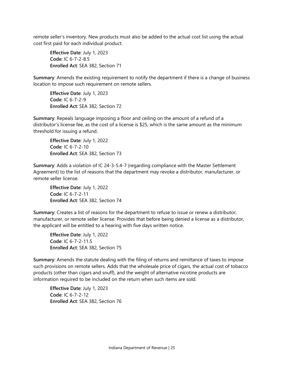remote seller's inventory. New products must also be added to the actual cost list using the actual cost first paid for each individual product.

**Effective Date**: July 1, 2023 **Code**: IC 6-7-2-8.5 **Enrolled Act**: SEA 382, Section 71

**Summary**: Amends the existing requirement to notify the department if there is a change of business location to impose such requirement on remote sellers.

**Effective Date**: July 1, 2023 **Code**: IC 6-7-2-9 **Enrolled Act**: SEA 382, Section 72

**Summary**: Repeals language imposing a floor and ceiling on the amount of a refund of a distributor's license fee, as the cost of a license is \$25, which is the same amount as the minimum threshold for issuing a refund.

**Effective Date**: July 1, 2022 **Code**: IC 6-7-2-10 **Enrolled Act**: SEA 382, Section 73

**Summary**: Adds a violation of IC 24-3-5.4-7 (regarding compliance with the Master Settlement Agreement) to the list of reasons that the department may revoke a distributor, manufacturer, or remote seller license.

**Effective Date**: July 1, 2022 **Code**: IC 6-7-2-11 **Enrolled Act**: SEA 382, Section 74

**Summary**: Creates a list of reasons for the department to refuse to issue or renew a distributor, manufacturer, or remote seller license. Provides that before being denied a license as a distributor, the applicant will be entitled to a hearing with five days written notice.

**Effective Date**: July 1, 2022 **Code**: IC 6-7-2-11.5 **Enrolled Act**: SEA 382, Section 75

**Summary**: Amends the statute dealing with the filing of returns and remittance of taxes to impose such provisions on remote sellers. Adds that the wholesale price of cigars, the actual cost of tobacco products (other than cigars and snuff), and the weight of alternative nicotine products are information required to be included on the return when such items are sold.

**Effective Date**: July 1, 2023 **Code**: IC 6-7-2-12 **Enrolled Act**: SEA 382, Section 76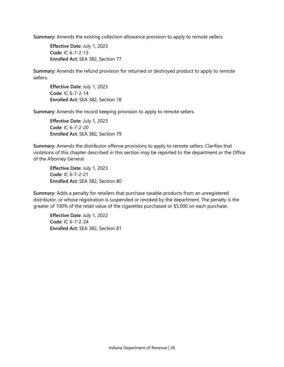**Summary**: Amends the existing collection allowance provision to apply to remote sellers.

**Effective Date**: July 1, 2023 **Code**: IC 6-7-2-13 **Enrolled Act**: SEA 382, Section 77

**Summary**: Amends the refund provision for returned or destroyed product to apply to remote sellers.

**Effective Date**: July 1, 2023 **Code**: IC 6-7-2-14 **Enrolled Act**: SEA 382, Section 78

**Summary**: Amends the record keeping provision to apply to remote sellers.

**Effective Date**: July 1, 2023 **Code**: IC 6-7-2-20 **Enrolled Act**: SEA 382, Section 79

**Summary**: Amends the distributor offense provisions to apply to remote sellers. Clarifies that violations of this chapter described in this section may be reported to the department or the Office of the Attorney General.

**Effective Date**: July 1, 2023 **Code**: IC 6-7-2-21 **Enrolled Act**: SEA 382, Section 80

**Summary**: Adds a penalty for retailers that purchase taxable products from an unregistered distributor, or whose registration is suspended or revoked by the department. The penalty is the greater of 100% of the retail value of the cigarettes purchased or \$5,000 on each purchase.

**Effective Date**: July 1, 2022 **Code**: IC 6-7-2-24 **Enrolled Act**: SEA 382, Section 81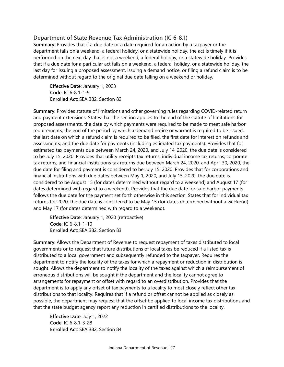# <span id="page-27-0"></span>**Department of State Revenue Tax Administration (IC 6-8.1)**

**Summary**: Provides that if a due date or a date required for an action by a taxpayer or the department falls on a weekend, a federal holiday, or a statewide holiday, the act is timely if it is performed on the next day that is not a weekend, a federal holiday, or a statewide holiday. Provides that if a due date for a particular act falls on a weekend, a federal holiday, or a statewide holiday, the last day for issuing a proposed assessment, issuing a demand notice, or filing a refund claim is to be determined without regard to the original due date falling on a weekend or holiday.

**Effective Date**: January 1, 2023 **Code**: IC 6-8.1-1-9 **Enrolled Act**: SEA 382, Section 82

**Summary**: Provides statute of limitations and other governing rules regarding COVID-related return and payment extensions. States that the section applies to the end of the statute of limitations for proposed assessments, the date by which payments were required to be made to meet safe harbor requirements, the end of the period by which a demand notice or warrant is required to be issued, the last date on which a refund claim is required to be filed, the first date for interest on refunds and assessments, and the due date for payments (including estimated tax payments). Provides that for estimated tax payments due between March 24, 2020, and July 14, 2020, the due date is considered to be July 15, 2020. Provides that utility receipts tax returns, individual income tax returns, corporate tax returns, and financial institutions tax returns due between March 24, 2020, and April 30, 2020, the due date for filing and payment is considered to be July 15, 2020. Provides that for corporations and financial institutions with due dates between May 1, 2020, and July 15, 2020, the due date is considered to be August 15 (for dates determined without regard to a weekend) and August 17 (for dates determined with regard to a weekend). Provides that the due date for safe harbor payments follows the due date for the payment set forth otherwise in this section. States that for individual tax returns for 2020, the due date is considered to be May 15 (for dates determined without a weekend) and May 17 (for dates determined with regard to a weekend).

**Effective Date**: January 1, 2020 (retroactive) **Code**: IC 6-8.1-1-10 **Enrolled Act**: SEA 382, Section 83

**Summary**: Allows the Department of Revenue to request repayment of taxes distributed to local governments or to request that future distributions of local taxes be reduced if a listed tax is distributed to a local government and subsequently refunded to the taxpayer. Requires the department to notify the locality of the taxes for which a repayment or reduction in distribution is sought. Allows the department to notify the locality of the taxes against which a reimbursement of erroneous distributions will be sought if the department and the locality cannot agree to arrangements for repayment or offset with regard to an overdistribution. Provides that the department is to apply any offset of tax payments to a locality to most closely reflect other tax distributions to that locality. Requires that if a refund or offset cannot be applied as closely as possible, the department may request that the offset be applied to local income tax distributions and that the state budget agency report any reduction in certified distributions to the locality.

**Effective Date**: July 1, 2022 **Code**: IC 6-8.1-3-28 **Enrolled Act**: SEA 382, Section 84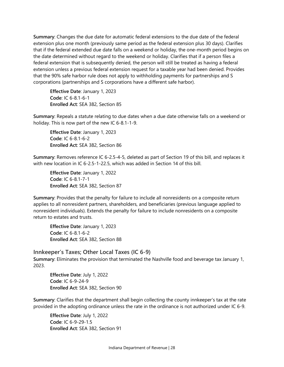**Summary**: Changes the due date for automatic federal extensions to the due date of the federal extension plus one month (previously same period as the federal extension plus 30 days). Clarifies that if the federal extended due date falls on a weekend or holiday, the one-month period begins on the date determined without regard to the weekend or holiday. Clarifies that if a person files a federal extension that is subsequently denied, the person will still be treated as having a federal extension unless a previous federal extension request for a taxable year had been denied. Provides that the 90% safe harbor rule does not apply to withholding payments for partnerships and S corporations (partnerships and S corporations have a different safe harbor).

**Effective Date**: January 1, 2023 **Code**: IC 6-8.1-6-1 **Enrolled Act**: SEA 382, Section 85

**Summary**: Repeals a statute relating to due dates when a due date otherwise falls on a weekend or holiday. This is now part of the new IC 6-8.1-1-9.

**Effective Date**: January 1, 2023 **Code**: IC 6-8.1-6-2 **Enrolled Act**: SEA 382, Section 86

**Summary**: Removes reference IC 6-2.5-4-5, deleted as part of Section 19 of this bill, and replaces it with new location in IC 6-2.5-1-22.5, which was added in Section 14 of this bill.

**Effective Date**: January 1, 2022 **Code**: IC 6-8.1-7-1 **Enrolled Act**: SEA 382, Section 87

**Summary**: Provides that the penalty for failure to include all nonresidents on a composite return applies to all nonresident partners, shareholders, and beneficiaries (previous language applied to nonresident individuals). Extends the penalty for failure to include nonresidents on a composite return to estates and trusts.

**Effective Date**: January 1, 2023 **Code**: IC 6-8.1-6-2 **Enrolled Act**: SEA 382, Section 88

<span id="page-28-0"></span>**Innkeeper's Taxes; Other Local Taxes (IC 6-9)**

**Summary**: Eliminates the provision that terminated the Nashville food and beverage tax January 1, 2023.

**Effective Date**: July 1, 2022 **Code**: IC 6-9-24-9 **Enrolled Act**: SEA 382, Section 90

**Summary**: Clarifies that the department shall begin collecting the county innkeeper's tax at the rate provided in the adopting ordinance unless the rate in the ordinance is not authorized under IC 6-9.

**Effective Date**: July 1, 2022 **Code**: IC 6-9-29-1.5 **Enrolled Act**: SEA 382, Section 91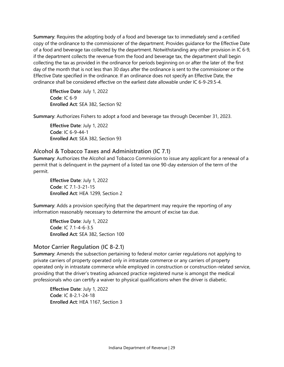**Summary**: Requires the adopting body of a food and beverage tax to immediately send a certified copy of the ordinance to the commissioner of the department. Provides guidance for the Effective Date of a food and beverage tax collected by the department. Notwithstanding any other provision in IC 6-9, if the department collects the revenue from the food and beverage tax, the department shall begin collecting the tax as provided in the ordinance for periods beginning on or after the later of: the first day of the month that is not less than 30 days after the ordinance is sent to the commissioner or the Effective Date specified in the ordinance. If an ordinance does not specify an Effective Date, the ordinance shall be considered effective on the earliest date allowable under IC 6-9-29.5-4.

**Effective Date**: July 1, 2022 **Code**: IC 6-9 **Enrolled Act**: SEA 382, Section 92

**Summary**: Authorizes Fishers to adopt a food and beverage tax through December 31, 2023.

**Effective Date**: July 1, 2022 **Code**: IC 6-9-44-1 **Enrolled Act**: SEA 382, Section 93

#### <span id="page-29-0"></span>**Alcohol & Tobacco Taxes and Administration (IC 7.1)**

**Summary**: Authorizes the Alcohol and Tobacco Commission to issue any applicant for a renewal of a permit that is delinquent in the payment of a listed tax one 90-day extension of the term of the permit.

**Effective Date**: July 1, 2022 **Code**: IC 7.1-3-21-15 **Enrolled Act**: HEA 1299, Section 2

**Summary**: Adds a provision specifying that the department may require the reporting of any information reasonably necessary to determine the amount of excise tax due.

**Effective Date**: July 1, 2022 **Code**: IC 7.1-4-6-3.5 **Enrolled Act**: SEA 382, Section 100

#### <span id="page-29-1"></span>**Motor Carrier Regulation (IC 8-2.1)**

**Summary**: Amends the subsection pertaining to federal motor carrier regulations not applying to private carriers of property operated only in intrastate commerce or any carriers of property operated only in intrastate commerce while employed in construction or construction-related service, providing that the driver's treating advanced practice registered nurse is amongst the medical professionals who can certify a waiver to physical qualifications when the driver is diabetic.

**Effective Date**: July 1, 2022 **Code**: IC 8-2.1-24-18 **Enrolled Act**: HEA 1167, Section 3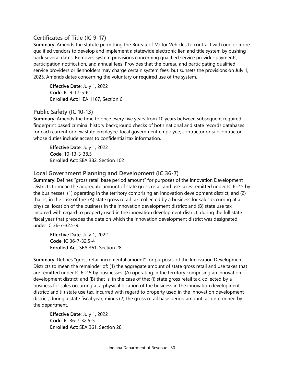# <span id="page-30-0"></span>**Certificates of Title (IC 9-17)**

**Summary**: Amends the statute permitting the Bureau of Motor Vehicles to contract with one or more qualified vendors to develop and implement a statewide electronic lien and title system by pushing back several dates. Removes system provisions concerning qualified service provider payments, participation notification, and annual fees. Provides that the bureau and participating qualified service providers or lienholders may charge certain system fees, but sunsets the provisions on July 1, 2025. Amends dates concerning the voluntary or required use of the system.

**Effective Date**: July 1, 2022 **Code**: IC 9-17-5-6 **Enrolled Act**: HEA 1167, Section 6

# <span id="page-30-1"></span>**Public Safety (IC 10-13)**

**Summary**: Amends the time to once every five years from 10 years between subsequent required fingerprint based criminal history background checks of both national and state records databases for each current or new state employee, local government employee, contractor or subcontractor whose duties include access to confidential tax information.

**Effective Date**: July 1, 2022 **Code**: 10-13-3-38.5 **Enrolled Act**: SEA 382, Section 102

# <span id="page-30-2"></span>**Local Government Planning and Development (IC 36-7)**

**Summary**: Defines "gross retail base period amount" for purposes of the Innovation Development Districts to mean the aggregate amount of state gross retail and use taxes remitted under IC 6-2.5 by the businesses: (1) operating in the territory comprising an innovation development district; and (2) that is, in the case of the: (A) state gross retail tax, collected by a business for sales occurring at a physical location of the business in the innovation development district; and (B) state use tax, incurred with regard to property used in the innovation development district; during the full state fiscal year that precedes the date on which the innovation development district was designated under IC 36-7-32.5-9.

**Effective Date**: July 1, 2022 **Code**: IC 36-7-32.5-4 **Enrolled Act**: SEA 361, Section 28

**Summary**: Defines "gross retail incremental amount" for purposes of the Innovation Development Districts to mean the remainder of: (1) the aggregate amount of state gross retail and use taxes that are remitted under IC 6-2.5 by businesses: (A) operating in the territory comprising an innovation development district; and (B) that is, in the case of the: (i) state gross retail tax, collected by a business for sales occurring at a physical location of the business in the innovation development district; and (ii) state use tax, incurred with regard to property used in the innovation development district; during a state fiscal year; minus (2) the gross retail base period amount; as determined by the department.

**Effective Date**: July 1, 2022 **Code**: IC 36-7-32.5-5 **Enrolled Act**: SEA 361, Section 28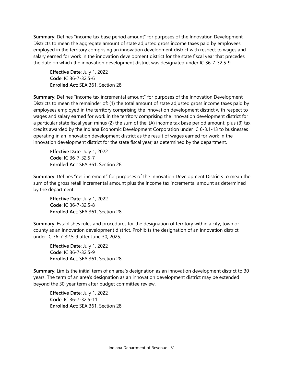**Summary**: Defines "income tax base period amount" for purposes of the Innovation Development Districts to mean the aggregate amount of state adjusted gross income taxes paid by employees employed in the territory comprising an innovation development district with respect to wages and salary earned for work in the innovation development district for the state fiscal year that precedes the date on which the innovation development district was designated under IC 36-7-32.5-9.

**Effective Date**: July 1, 2022 **Code**: IC 36-7-32.5-6 **Enrolled Act**: SEA 361, Section 28

**Summary**: Defines "income tax incremental amount" for purposes of the Innovation Development Districts to mean the remainder of: (1) the total amount of state adjusted gross income taxes paid by employees employed in the territory comprising the innovation development district with respect to wages and salary earned for work in the territory comprising the innovation development district for a particular state fiscal year; minus (2) the sum of the: (A) income tax base period amount; plus (B) tax credits awarded by the Indiana Economic Development Corporation under IC 6-3.1-13 to businesses operating in an innovation development district as the result of wages earned for work in the innovation development district for the state fiscal year; as determined by the department.

**Effective Date**: July 1, 2022 **Code**: IC 36-7-32.5-7 **Enrolled Act**: SEA 361, Section 28

**Summary**: Defines "net increment" for purposes of the Innovation Development Districts to mean the sum of the gross retail incremental amount plus the income tax incremental amount as determined by the department.

**Effective Date**: July 1, 2022 **Code**: IC 36-7-32.5-8 **Enrolled Act**: SEA 361, Section 28

**Summary**: Establishes rules and procedures for the designation of territory within a city, town or county as an innovation development district. Prohibits the designation of an innovation district under IC 36-7-32.5-9 after June 30, 2025.

**Effective Date**: July 1, 2022 **Code**: IC 36-7-32.5-9 **Enrolled Act**: SEA 361, Section 28

**Summary**: Limits the initial term of an area's designation as an innovation development district to 30 years. The term of an area's designation as an innovation development district may be extended beyond the 30-year term after budget committee review.

**Effective Date**: July 1, 2022 **Code**: IC 36-7-32.5-11 **Enrolled Act**: SEA 361, Section 28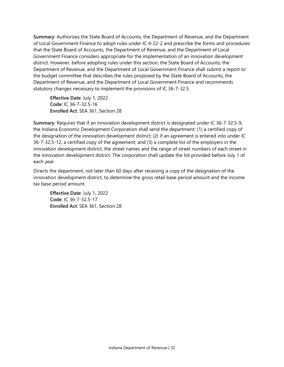**Summary**: Authorizes the State Board of Accounts, the Department of Revenue, and the Department of Local Government Finance to adopt rules under IC 4-22-2 and prescribe the forms and procedures that the State Board of Accounts, the Department of Revenue, and the Department of Local Government Finance considers appropriate for the implementation of an innovation development district. However, before adopting rules under this section, the State Board of Accounts, the Department of Revenue, and the Department of Local Government Finance shall submit a report to the budget committee that describes the rules proposed by the State Board of Accounts, the Department of Revenue, and the Department of Local Government Finance and recommends statutory changes necessary to implement the provisions of IC 36-7-32.5.

**Effective Date**: July 1, 2022 **Code**: IC 36-7-32.5-16 **Enrolled Act**: SEA 361, Section 28

**Summary**: Requires that if an innovation development district is designated under IC 36-7-32.5-9, the Indiana Economic Development Corporation shall send the department: (1) a certified copy of the designation of the innovation development district; (2) if an agreement is entered into under IC 36-7-32.5-12, a certified copy of the agreement; and (3) a complete list of the employers in the innovation development district, the street names and the range of street numbers of each street in the innovation development district. The corporation shall update the list provided before July 1 of each year.

Directs the department, not later than 60 days after receiving a copy of the designation of the innovation development district, to determine the gross retail base period amount and the income tax base period amount.

**Effective Date**: July 1, 2022 **Code**: IC 36-7-32.5-17 **Enrolled Act**: SEA 361, Section 28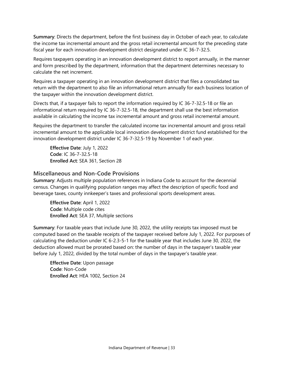**Summary**: Directs the department, before the first business day in October of each year, to calculate the income tax incremental amount and the gross retail incremental amount for the preceding state fiscal year for each innovation development district designated under IC 36-7-32.5.

Requires taxpayers operating in an innovation development district to report annually, in the manner and form prescribed by the department, information that the department determines necessary to calculate the net increment.

Requires a taxpayer operating in an innovation development district that files a consolidated tax return with the department to also file an informational return annually for each business location of the taxpayer within the innovation development district.

Directs that, if a taxpayer fails to report the information required by IC 36-7-32.5-18 or file an informational return required by IC 36-7-32.5-18, the department shall use the best information available in calculating the income tax incremental amount and gross retail incremental amount.

Requires the department to transfer the calculated income tax incremental amount and gross retail incremental amount to the applicable local innovation development district fund established for the innovation development district under IC 36-7-32.5-19 by November 1 of each year.

**Effective Date**: July 1, 2022 **Code**: IC 36-7-32.5-18 **Enrolled Act**: SEA 361, Section 28

# <span id="page-33-0"></span>**Miscellaneous and Non-Code Provisions**

**Summary**: Adjusts multiple population references in Indiana Code to account for the decennial census. Changes in qualifying population ranges may affect the description of specific food and beverage taxes, county innkeeper's taxes and professional sports development areas.

**Effective Date**: April 1, 2022 **Code**: Multiple code cites **Enrolled Act**: SEA 37, Multiple sections

**Summary**: For taxable years that include June 30, 2022, the utility receipts tax imposed must be computed based on the taxable receipts of the taxpayer received before July 1, 2022. For purposes of calculating the deduction under IC 6-2.3-5-1 for the taxable year that includes June 30, 2022, the deduction allowed must be prorated based on: the number of days in the taxpayer's taxable year before July 1, 2022, divided by the total number of days in the taxpayer's taxable year.

**Effective Date**: Upon passage **Code**: Non-Code **Enrolled Act**: HEA 1002, Section 24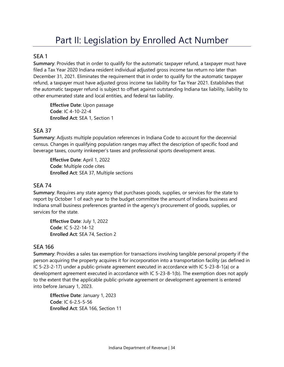# Part II: Legislation by Enrolled Act Number

# <span id="page-34-1"></span><span id="page-34-0"></span>**SEA 1**

**Summary**: Provides that in order to qualify for the automatic taxpayer refund, a taxpayer must have filed a Tax Year 2020 Indiana resident individual adjusted gross income tax return no later than December 31, 2021. Eliminates the requirement that in order to qualify for the automatic taxpayer refund, a taxpayer must have adjusted gross income tax liability for Tax Year 2021. Establishes that the automatic taxpayer refund is subject to offset against outstanding Indiana tax liability, liability to other enumerated state and local entities, and federal tax liability.

**Effective Date**: Upon passage **Code**: IC 4-10-22-4 **Enrolled Act**: SEA 1, Section 1

# <span id="page-34-2"></span>**SEA 37**

**Summary**: Adjusts multiple population references in Indiana Code to account for the decennial census. Changes in qualifying population ranges may affect the description of specific food and beverage taxes, county innkeeper's taxes and professional sports development areas.

**Effective Date**: April 1, 2022 **Code**: Multiple code cites **Enrolled Act**: SEA 37, Multiple sections

# <span id="page-34-3"></span>**SEA 74**

**Summary**: Requires any state agency that purchases goods, supplies, or services for the state to report by October 1 of each year to the budget committee the amount of Indiana business and Indiana small business preferences granted in the agency's procurement of goods, supplies, or services for the state.

**Effective Date**: July 1, 2022 **Code**: IC 5-22-14-12 **Enrolled Act**: SEA 74, Section 2

# <span id="page-34-4"></span>**SEA 166**

**Summary**: Provides a sales tax exemption for transactions involving tangible personal property if the person acquiring the property acquires it for incorporation into a transportation facility (as defined in IC 5-23-2-17) under a public-private agreement executed in accordance with IC 5-23-8-1(a) or a development agreement executed in accordance with IC 5-23-8-1(b). The exemption does not apply to the extent that the applicable public-private agreement or development agreement is entered into before January 1, 2023.

**Effective Date**: January 1, 2023 **Code**: IC 6-2.5-5-56 **Enrolled Act**: SEA 166, Section 11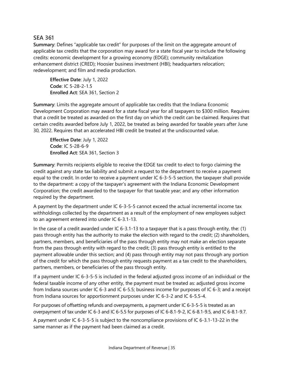# <span id="page-35-0"></span>**SEA 361**

**Summary**: Defines "applicable tax credit" for purposes of the limit on the aggregate amount of applicable tax credits that the corporation may award for a state fiscal year to include the following credits: economic development for a growing economy (EDGE); community revitalization enhancement district (CRED); Hoosier business investment (HBI); headquarters relocation; redevelopment; and film and media production.

**Effective Date**: July 1, 2022 **Code**: IC 5-28-2-1.5 **Enrolled Act**: SEA 361, Section 2

**Summary**: Limits the aggregate amount of applicable tax credits that the Indiana Economic Development Corporation may award for a state fiscal year for all taxpayers to \$300 million. Requires that a credit be treated as awarded on the first day on which the credit can be claimed. Requires that certain credits awarded before July 1, 2022, be treated as being awarded for taxable years after June 30, 2022. Requires that an accelerated HBI credit be treated at the undiscounted value.

**Effective Date**: July 1, 2022 **Code**: IC 5-28-6-9 **Enrolled Act**: SEA 361, Section 3

**Summary**: Permits recipients eligible to receive the EDGE tax credit to elect to forgo claiming the credit against any state tax liability and submit a request to the department to receive a payment equal to the credit. In order to receive a payment under IC 6-3-5-5 section, the taxpayer shall provide to the department: a copy of the taxpayer's agreement with the Indiana Economic Development Corporation; the credit awarded to the taxpayer for that taxable year; and any other information required by the department.

A payment by the department under IC 6-3-5-5 cannot exceed the actual incremental income tax withholdings collected by the department as a result of the employment of new employees subject to an agreement entered into under IC 6-3.1-13.

In the case of a credit awarded under IC 6-3.1-13 to a taxpayer that is a pass through entity, the: (1) pass through entity has the authority to make the election with regard to the credit; (2) shareholders, partners, members, and beneficiaries of the pass through entity may not make an election separate from the pass through entity with regard to the credit; (3) pass through entity is entitled to the payment allowable under this section; and (4) pass through entity may not pass through any portion of the credit for which the pass through entity requests payment as a tax credit to the shareholders, partners, members, or beneficiaries of the pass through entity.

If a payment under IC 6-3-5-5 is included in the federal adjusted gross income of an individual or the federal taxable income of any other entity, the payment must be treated as: adjusted gross income from Indiana sources under IC 6-3 and IC 6-5.5; business income for purposes of IC 6-3; and a receipt from Indiana sources for apportionment purposes under IC 6-3-2 and IC 6-5.5-4.

For purposes of offsetting refunds and overpayments, a payment under IC 6-3-5-5 is treated as an overpayment of tax under IC 6-3 and IC 6-5.5 for purposes of IC 6-8.1-9-2, IC 6-8.1-9.5, and IC 6-8.1-9.7.

A payment under IC 6-3-5-5 is subject to the noncompliance provisions of IC 6-3.1-13-22 in the same manner as if the payment had been claimed as a credit.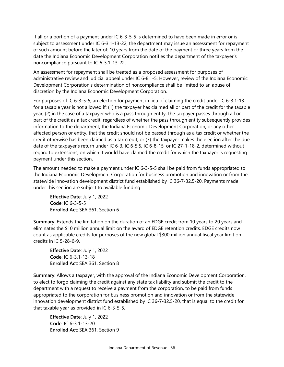If all or a portion of a payment under IC 6-3-5-5 is determined to have been made in error or is subject to assessment under IC 6-3.1-13-22, the department may issue an assessment for repayment of such amount before the later of: 10 years from the date of the payment or three years from the date the Indiana Economic Development Corporation notifies the department of the taxpayer's noncompliance pursuant to IC 6-3.1-13-22.

An assessment for repayment shall be treated as a proposed assessment for purposes of administrative review and judicial appeal under IC 6-8.1-5. However, review of the Indiana Economic Development Corporation's determination of noncompliance shall be limited to an abuse of discretion by the Indiana Economic Development Corporation.

For purposes of IC 6-3-5-5, an election for payment in lieu of claiming the credit under IC 6-3.1-13 for a taxable year is not allowed if: (1) the taxpayer has claimed all or part of the credit for the taxable year; (2) in the case of a taxpayer who is a pass through entity, the taxpayer passes through all or part of the credit as a tax credit, regardless of whether the pass through entity subsequently provides information to the department, the Indiana Economic Development Corporation, or any other affected person or entity, that the credit should not be passed through as a tax credit or whether the credit otherwise has been claimed as a tax credit; or (3) the taxpayer makes the election after the due date of the taxpayer's return under IC 6-3, IC 6-5.5, IC 6-8-15, or IC 27-1-18-2, determined without regard to extensions, on which it would have claimed the credit for which the taxpayer is requesting payment under this section.

The amount needed to make a payment under IC 6-3-5-5 shall be paid from funds appropriated to the Indiana Economic Development Corporation for business promotion and innovation or from the statewide innovation development district fund established by IC 36-7-32.5-20. Payments made under this section are subject to available funding.

**Effective Date**: July 1, 2022 **Code**: IC 6-3-5-5 **Enrolled Act**: SEA 361, Section 6

**Summary**: Extends the limitation on the duration of an EDGE credit from 10 years to 20 years and eliminates the \$10 million annual limit on the award of EDGE retention credits. EDGE credits now count as applicable credits for purposes of the new global \$300 million annual fiscal year limit on credits in IC 5-28-6-9.

**Effective Date**: July 1, 2022 **Code**: IC 6-3.1-13-18 **Enrolled Act**: SEA 361, Section 8

**Summary**: Allows a taxpayer, with the approval of the Indiana Economic Development Corporation, to elect to forgo claiming the credit against any state tax liability and submit the credit to the department with a request to receive a payment from the corporation, to be paid from funds appropriated to the corporation for business promotion and innovation or from the statewide innovation development district fund established by IC 36-7-32.5-20, that is equal to the credit for that taxable year as provided in IC 6-3-5-5.

**Effective Date**: July 1, 2022 **Code**: IC 6-3.1-13-20 **Enrolled Act**: SEA 361, Section 9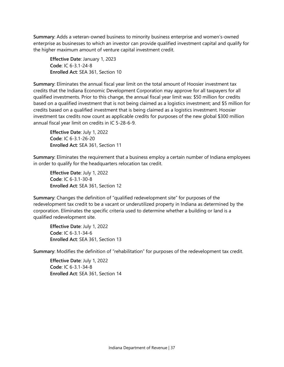**Summary**: Adds a veteran-owned business to minority business enterprise and women's-owned enterprise as businesses to which an investor can provide qualified investment capital and qualify for the higher maximum amount of venture capital investment credit.

**Effective Date**: January 1, 2023 **Code**: IC 6-3.1-24-8 **Enrolled Act**: SEA 361, Section 10

**Summary**: Eliminates the annual fiscal year limit on the total amount of Hoosier investment tax credits that the Indiana Economic Development Corporation may approve for all taxpayers for all qualified investments. Prior to this change, the annual fiscal year limit was: \$50 million for credits based on a qualified investment that is not being claimed as a logistics investment; and \$5 million for credits based on a qualified investment that is being claimed as a logistics investment. Hoosier investment tax credits now count as applicable credits for purposes of the new global \$300 million annual fiscal year limit on credits in IC 5-28-6-9.

**Effective Date**: July 1, 2022 **Code**: IC 6-3.1-26-20 **Enrolled Act**: SEA 361, Section 11

**Summary**: Eliminates the requirement that a business employ a certain number of Indiana employees in order to qualify for the headquarters relocation tax credit.

**Effective Date**: July 1, 2022 **Code**: IC 6-3.1-30-8 **Enrolled Act**: SEA 361, Section 12

**Summary**: Changes the definition of "qualified redevelopment site" for purposes of the redevelopment tax credit to be a vacant or underutilized property in Indiana as determined by the corporation. Eliminates the specific criteria used to determine whether a building or land is a qualified redevelopment site.

**Effective Date**: July 1, 2022 **Code**: IC 6-3.1-34-6 **Enrolled Act**: SEA 361, Section 13

**Summary**: Modifies the definition of "rehabilitation" for purposes of the redevelopment tax credit.

**Effective Date**: July 1, 2022 **Code**: IC 6-3.1-34-8 **Enrolled Act**: SEA 361, Section 14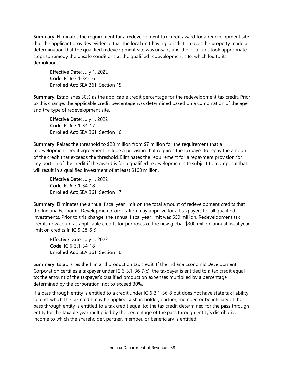**Summary**: Eliminates the requirement for a redevelopment tax credit award for a redevelopment site that the applicant provides evidence that the local unit having jurisdiction over the property made a determination that the qualified redevelopment site was unsafe, and the local unit took appropriate steps to remedy the unsafe conditions at the qualified redevelopment site, which led to its demolition.

**Effective Date**: July 1, 2022 **Code**: IC 6-3.1-34-16 **Enrolled Act**: SEA 361, Section 15

**Summary**: Establishes 30% as the applicable credit percentage for the redevelopment tax credit. Prior to this change, the applicable credit percentage was determined based on a combination of the age and the type of redevelopment site.

**Effective Date**: July 1, 2022 **Code**: IC 6-3.1-34-17 **Enrolled Act**: SEA 361, Section 16

**Summary**: Raises the threshold to \$20 million from \$7 million for the requirement that a redevelopment credit agreement include a provision that requires the taxpayer to repay the amount of the credit that exceeds the threshold. Eliminates the requirement for a repayment provision for any portion of the credit if the award is for a qualified redevelopment site subject to a proposal that will result in a qualified investment of at least \$100 million.

**Effective Date**: July 1, 2022 **Code**: IC 6-3.1-34-18 **Enrolled Act**: SEA 361, Section 17

**Summary**: Eliminates the annual fiscal year limit on the total amount of redevelopment credits that the Indiana Economic Development Corporation may approve for all taxpayers for all qualified investments. Prior to this change, the annual fiscal year limit was \$50 million. Redevelopment tax credits now count as applicable credits for purposes of the new global \$300 million annual fiscal year limit on credits in IC 5-28-6-9.

**Effective Date**: July 1, 2022 **Code**: IC 6-3.1-34-18 **Enrolled Act**: SEA 361, Section 18

**Summary**: Establishes the film and production tax credit. If the Indiana Economic Development Corporation certifies a taxpayer under IC 6-3.1-36-7(c), the taxpayer is entitled to a tax credit equal to: the amount of the taxpayer's qualified production expenses multiplied by a percentage determined by the corporation, not to exceed 30%.

If a pass through entity is entitled to a credit under IC 6-3.1-36-8 but does not have state tax liability against which the tax credit may be applied, a shareholder, partner, member, or beneficiary of the pass through entity is entitled to a tax credit equal to: the tax credit determined for the pass through entity for the taxable year multiplied by the percentage of the pass through entity's distributive income to which the shareholder, partner, member, or beneficiary is entitled.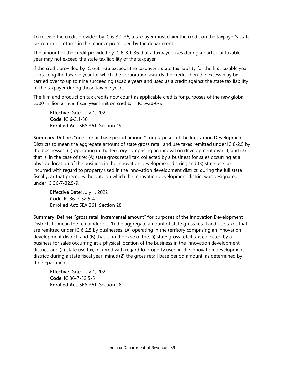To receive the credit provided by IC 6-3.1-36, a taxpayer must claim the credit on the taxpayer's state tax return or returns in the manner prescribed by the department.

The amount of the credit provided by IC 6-3.1-36 that a taxpayer uses during a particular taxable year may not exceed the state tax liability of the taxpayer.

If the credit provided by IC 6-3.1-36 exceeds the taxpayer's state tax liability for the first taxable year containing the taxable year for which the corporation awards the credit, then the excess may be carried over to up to nine succeeding taxable years and used as a credit against the state tax liability of the taxpayer during those taxable years.

The film and production tax credits now count as applicable credits for purposes of the new global \$300 million annual fiscal year limit on credits in IC 5-28-6-9.

**Effective Date**: July 1, 2022 **Code**: IC 6-3.1-36 **Enrolled Act**: SEA 361, Section 19

**Summary**: Defines "gross retail base period amount" for purposes of the Innovation Development Districts to mean the aggregate amount of state gross retail and use taxes remitted under IC 6-2.5 by the businesses: (1) operating in the territory comprising an innovation development district; and (2) that is, in the case of the: (A) state gross retail tax, collected by a business for sales occurring at a physical location of the business in the innovation development district; and (B) state use tax, incurred with regard to property used in the innovation development district; during the full state fiscal year that precedes the date on which the innovation development district was designated under IC 36-7-32.5-9.

**Effective Date**: July 1, 2022 **Code**: IC 36-7-32.5-4 **Enrolled Act**: SEA 361, Section 28

**Summary**: Defines "gross retail incremental amount" for purposes of the Innovation Development Districts to mean the remainder of: (1) the aggregate amount of state gross retail and use taxes that are remitted under IC 6-2.5 by businesses: (A) operating in the territory comprising an innovation development district; and (B) that is, in the case of the: (i) state gross retail tax, collected by a business for sales occurring at a physical location of the business in the innovation development district; and (ii) state use tax, incurred with regard to property used in the innovation development district; during a state fiscal year; minus (2) the gross retail base period amount; as determined by the department.

**Effective Date**: July 1, 2022 **Code**: IC 36-7-32.5-5 **Enrolled Act**: SEA 361, Section 28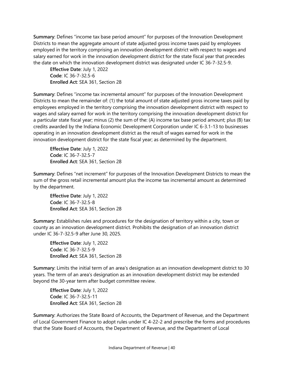**Summary**: Defines "income tax base period amount" for purposes of the Innovation Development Districts to mean the aggregate amount of state adjusted gross income taxes paid by employees employed in the territory comprising an innovation development district with respect to wages and salary earned for work in the innovation development district for the state fiscal year that precedes the date on which the innovation development district was designated under IC 36-7-32.5-9.

**Effective Date**: July 1, 2022 **Code**: IC 36-7-32.5-6 **Enrolled Act**: SEA 361, Section 28

**Summary**: Defines "income tax incremental amount" for purposes of the Innovation Development Districts to mean the remainder of: (1) the total amount of state adjusted gross income taxes paid by employees employed in the territory comprising the innovation development district with respect to wages and salary earned for work in the territory comprising the innovation development district for a particular state fiscal year; minus (2) the sum of the: (A) income tax base period amount; plus (B) tax credits awarded by the Indiana Economic Development Corporation under IC 6-3.1-13 to businesses operating in an innovation development district as the result of wages earned for work in the innovation development district for the state fiscal year; as determined by the department.

**Effective Date**: July 1, 2022 **Code**: IC 36-7-32.5-7 **Enrolled Act**: SEA 361, Section 28

**Summary**: Defines "net increment" for purposes of the Innovation Development Districts to mean the sum of the gross retail incremental amount plus the income tax incremental amount as determined by the department.

**Effective Date**: July 1, 2022 **Code**: IC 36-7-32.5-8 **Enrolled Act**: SEA 361, Section 28

**Summary**: Establishes rules and procedures for the designation of territory within a city, town or county as an innovation development district. Prohibits the designation of an innovation district under IC 36-7-32.5-9 after June 30, 2025.

**Effective Date**: July 1, 2022 **Code**: IC 36-7-32.5-9 **Enrolled Act**: SEA 361, Section 28

**Summary**: Limits the initial term of an area's designation as an innovation development district to 30 years. The term of an area's designation as an innovation development district may be extended beyond the 30-year term after budget committee review.

**Effective Date**: July 1, 2022 **Code**: IC 36-7-32.5-11 **Enrolled Act**: SEA 361, Section 28

**Summary**: Authorizes the State Board of Accounts, the Department of Revenue, and the Department of Local Government Finance to adopt rules under IC 4-22-2 and prescribe the forms and procedures that the State Board of Accounts, the Department of Revenue, and the Department of Local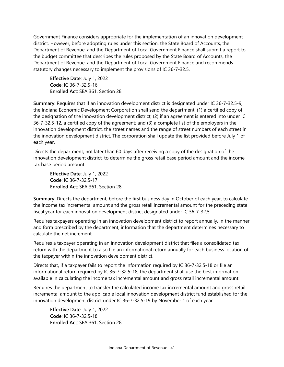Government Finance considers appropriate for the implementation of an innovation development district. However, before adopting rules under this section, the State Board of Accounts, the Department of Revenue, and the Department of Local Government Finance shall submit a report to the budget committee that describes the rules proposed by the State Board of Accounts, the Department of Revenue, and the Department of Local Government Finance and recommends statutory changes necessary to implement the provisions of IC 36-7-32.5.

**Effective Date**: July 1, 2022 **Code**: IC 36-7-32.5-16 **Enrolled Act**: SEA 361, Section 28

**Summary**: Requires that if an innovation development district is designated under IC 36-7-32.5-9, the Indiana Economic Development Corporation shall send the department: (1) a certified copy of the designation of the innovation development district; (2) if an agreement is entered into under IC 36-7-32.5-12, a certified copy of the agreement; and (3) a complete list of the employers in the innovation development district, the street names and the range of street numbers of each street in the innovation development district. The corporation shall update the list provided before July 1 of each year.

Directs the department, not later than 60 days after receiving a copy of the designation of the innovation development district, to determine the gross retail base period amount and the income tax base period amount.

**Effective Date**: July 1, 2022 **Code**: IC 36-7-32.5-17 **Enrolled Act**: SEA 361, Section 28

**Summary**: Directs the department, before the first business day in October of each year, to calculate the income tax incremental amount and the gross retail incremental amount for the preceding state fiscal year for each innovation development district designated under IC 36-7-32.5.

Requires taxpayers operating in an innovation development district to report annually, in the manner and form prescribed by the department, information that the department determines necessary to calculate the net increment.

Requires a taxpayer operating in an innovation development district that files a consolidated tax return with the department to also file an informational return annually for each business location of the taxpayer within the innovation development district.

Directs that, if a taxpayer fails to report the information required by IC 36-7-32.5-18 or file an informational return required by IC 36-7-32.5-18, the department shall use the best information available in calculating the income tax incremental amount and gross retail incremental amount.

Requires the department to transfer the calculated income tax incremental amount and gross retail incremental amount to the applicable local innovation development district fund established for the innovation development district under IC 36-7-32.5-19 by November 1 of each year.

**Effective Date**: July 1, 2022 **Code**: IC 36-7-32.5-18 **Enrolled Act**: SEA 361, Section 28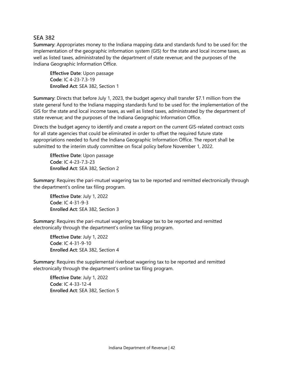# <span id="page-42-0"></span>**SEA 382**

**Summary**: Appropriates money to the Indiana mapping data and standards fund to be used for: the implementation of the geographic information system (GIS) for the state and local income taxes, as well as listed taxes, administrated by the department of state revenue; and the purposes of the Indiana Geographic Information Office.

**Effective Date**: Upon passage **Code**: IC 4-23-7.3-19 **Enrolled Act**: SEA 382, Section 1

**Summary**: Directs that before July 1, 2023, the budget agency shall transfer \$7.1 million from the state general fund to the Indiana mapping standards fund to be used for: the implementation of the GIS for the state and local income taxes, as well as listed taxes, administrated by the department of state revenue; and the purposes of the Indiana Geographic Information Office.

Directs the budget agency to identify and create a report on the current GIS-related contract costs for all state agencies that could be eliminated in order to offset the required future state appropriations needed to fund the Indiana Geographic Information Office. The report shall be submitted to the interim study committee on fiscal policy before November 1, 2022.

**Effective Date**: Upon passage **Code**: IC 4-23-7.3-23 **Enrolled Act**: SEA 382, Section 2

**Summary**: Requires the pari-mutuel wagering tax to be reported and remitted electronically through the department's online tax filing program.

**Effective Date**: July 1, 2022 **Code**: IC 4-31-9-3 **Enrolled Act**: SEA 382, Section 3

**Summary**: Requires the pari-mutuel wagering breakage tax to be reported and remitted electronically through the department's online tax filing program.

**Effective Date**: July 1, 2022 **Code**: IC 4-31-9-10 **Enrolled Act**: SEA 382, Section 4

**Summary**: Requires the supplemental riverboat wagering tax to be reported and remitted electronically through the department's online tax filing program.

**Effective Date**: July 1, 2022 **Code**: IC 4-33-12-4 **Enrolled Act**: SEA 382, Section 5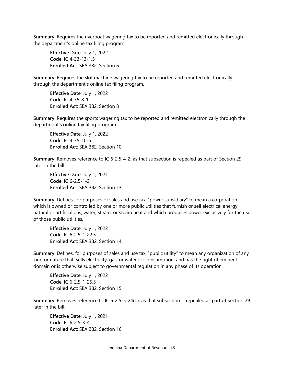**Summary**: Requires the riverboat wagering tax to be reported and remitted electronically through the department's online tax filing program.

**Effective Date**: July 1, 2022 **Code**: IC 4-33-13-1.5 **Enrolled Act**: SEA 382, Section 6

**Summary**: Requires the slot machine wagering tax to be reported and remitted electronically through the department's online tax filing program.

**Effective Date**: July 1, 2022 **Code**: IC 4-35-8-1 **Enrolled Act**: SEA 382, Section 8

**Summary**: Requires the sports wagering tax to be reported and remitted electronically through the department's online tax filing program.

**Effective Date**: July 1, 2022 **Code**: IC 4-35-10-5 **Enrolled Act**: SEA 382, Section 10

**Summary**: Removes reference to IC 6-2.5-4-2, as that subsection is repealed as part of Section 29 later in the bill.

**Effective Date**: July 1, 2021 **Code**: IC 6-2.5-1-2 **Enrolled Act**: SEA 382, Section 13

**Summary**: Defines, for purposes of sales and use tax, "power subsidiary" to mean a corporation which is owned or controlled by one or more public utilities that furnish or sell electrical energy, natural or artificial gas, water, steam, or steam heat and which produces power exclusively for the use of those public utilities.

**Effective Date**: July 1, 2022 **Code**: IC 6-2.5-1-22.5 **Enrolled Act**: SEA 382, Section 14

**Summary**: Defines, for purposes of sales and use tax, "public utility" to mean any organization of any kind or nature that: sells electricity, gas, or water for consumption; and has the right of eminent domain or is otherwise subject to governmental regulation in any phase of its operation.

**Effective Date**: July 1, 2022 **Code**: IC 6-2.5-1-25.5 **Enrolled Act**: SEA 382, Section 15

**Summary**: Removes reference to IC 6-2.5-5-24(b), as that subsection is repealed as part of Section 29 later in the bill.

**Effective Date**: July 1, 2021 **Code**: IC 6-2.5-3-4 **Enrolled Act**: SEA 382, Section 16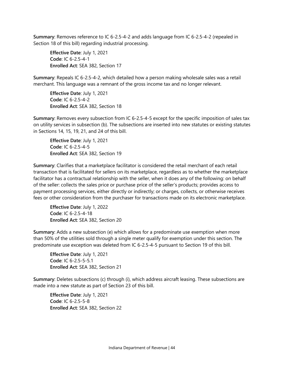**Summary**: Removes reference to IC 6-2.5-4-2 and adds language from IC 6-2.5-4-2 (repealed in Section 18 of this bill) regarding industrial processing.

**Effective Date**: July 1, 2021 **Code**: IC 6-2.5-4-1 **Enrolled Act**: SEA 382, Section 17

**Summary**: Repeals IC 6-2.5-4-2, which detailed how a person making wholesale sales was a retail merchant. This language was a remnant of the gross income tax and no longer relevant.

**Effective Date**: July 1, 2021 **Code**: IC 6-2.5-4-2 **Enrolled Act**: SEA 382, Section 18

**Summary**: Removes every subsection from IC 6-2.5-4-5 except for the specific imposition of sales tax on utility services in subsection (b). The subsections are inserted into new statutes or existing statutes in Sections 14, 15, 19, 21, and 24 of this bill.

**Effective Date**: July 1, 2021 **Code**: IC 6-2.5-4-5 **Enrolled Act**: SEA 382, Section 19

**Summary**: Clarifies that a marketplace facilitator is considered the retail merchant of each retail transaction that is facilitated for sellers on its marketplace, regardless as to whether the marketplace facilitator has a contractual relationship with the seller, when it does any of the following: on behalf of the seller: collects the sales price or purchase price of the seller's products; provides access to payment processing services, either directly or indirectly; or charges, collects, or otherwise receives fees or other consideration from the purchaser for transactions made on its electronic marketplace.

**Effective Date**: July 1, 2022 **Code**: IC 6-2.5-4-18 **Enrolled Act**: SEA 382, Section 20

**Summary**: Adds a new subsection (e) which allows for a predominate use exemption when more than 50% of the utilities sold through a single meter qualify for exemption under this section. The predominate use exception was deleted from IC 6-2.5-4-5 pursuant to Section 19 of this bill.

**Effective Date**: July 1, 2021 **Code**: IC 6-2.5-5-5.1 **Enrolled Act**: SEA 382, Section 21

**Summary**: Deletes subsections (c) through (i), which address aircraft leasing. These subsections are made into a new statute as part of Section 23 of this bill.

**Effective Date**: July 1, 2021 **Code**: IC 6-2.5-5-8 **Enrolled Act**: SEA 382, Section 22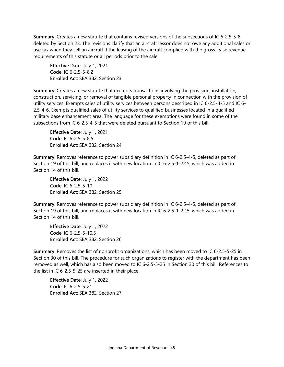**Summary**: Creates a new statute that contains revised versions of the subsections of IC 6-2.5-5-8 deleted by Section 23. The revisions clarify that an aircraft lessor does not owe any additional sales or use tax when they sell an aircraft if the leasing of the aircraft complied with the gross lease revenue requirements of this statute or all periods prior to the sale.

**Effective Date**: July 1, 2021 **Code**: IC 6-2.5-5-8.2 **Enrolled Act**: SEA 382, Section 23

**Summary**: Creates a new statute that exempts transactions involving the provision, installation, construction, servicing, or removal of tangible personal property in connection with the provision of utility services. Exempts sales of utility services between persons described in IC 6-2.5-4-5 and IC 6- 2.5-4-6. Exempts qualified sales of utility services to qualified businesses located in a qualified military base enhancement area. The language for these exemptions were found in some of the subsections from IC 6-2.5-4-5 that were deleted pursuant to Section 19 of this bill.

**Effective Date**: July 1, 2021 **Code**: IC 6-2.5-5-8.5 **Enrolled Act**: SEA 382, Section 24

**Summary**: Removes reference to power subsidiary definition in IC 6-2.5-4-5, deleted as part of Section 19 of this bill, and replaces it with new location in IC 6-2.5-1-22.5, which was added in Section 14 of this bill.

**Effective Date**: July 1, 2022 **Code**: IC 6-2.5-5-10 **Enrolled Act**: SEA 382, Section 25

**Summary**: Removes reference to power subsidiary definition in IC 6-2.5-4-5, deleted as part of Section 19 of this bill, and replaces it with new location in IC 6-2.5-1-22.5, which was added in Section 14 of this bill.

**Effective Date**: July 1, 2022 **Code**: IC 6-2.5-5-10.5 **Enrolled Act**: SEA 382, Section 26

**Summary**: Removes the list of nonprofit organizations, which has been moved to IC 6-2.5-5-25 in Section 30 of this bill. The procedure for such organizations to register with the department has been removed as well, which has also been moved to IC 6-2.5-5-25 in Section 30 of this bill. References to the list in IC 6-2.5-5-25 are inserted in their place.

**Effective Date**: July 1, 2022 **Code**: IC 6-2.5-5-21 **Enrolled Act**: SEA 382, Section 27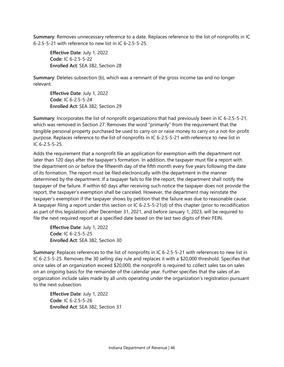**Summary**: Removes unnecessary reference to a date. Replaces reference to the list of nonprofits in IC 6-2.5-5-21 with reference to new list in IC 6-2.5-5-25.

**Effective Date**: July 1, 2022 **Code**: IC 6-2.5-5-22 **Enrolled Act**: SEA 382, Section 28

**Summary**: Deletes subsection (b), which was a remnant of the gross income tax and no longer relevant.

**Effective Date**: July 1, 2022 **Code**: IC 6-2.5-5-24 **Enrolled Act**: SEA 382, Section 29

**Summary**: Incorporates the list of nonprofit organizations that had previously been in IC 6-2.5-5-21, which was removed in Section 27. Removes the word "primarily" from the requirement that the tangible personal property purchased be used to carry on or raise money to carry on a not-for-profit purpose. Replaces reference to the list of nonprofits in IC 6-2.5-5-21 with reference to new list in IC 6-2.5-5-25.

Adds the requirement that a nonprofit file an application for exemption with the department not later than 120 days after the taxpayer's formation. In addition, the taxpayer must file a report with the department on or before the fifteenth day of the fifth month every five years following the date of its formation. The report must be filed electronically with the department in the manner determined by the department. If a taxpayer fails to file the report, the department shall notify the taxpayer of the failure. If within 60 days after receiving such notice the taxpayer does not provide the report, the taxpayer's exemption shall be canceled. However, the department may reinstate the taxpayer's exemption if the taxpayer shows by petition that the failure was due to reasonable cause. A taxpayer filing a report under this section or IC 6-2.5-5-21(d) of this chapter (prior to recodification as part of this legislation) after December 31, 2021, and before January 1, 2023, will be required to file the next required report at a specified date based on the last two digits of their FEIN.

**Effective Date**: July 1, 2022 **Code**: IC 6-2.5-5-25 **Enrolled Act**: SEA 382, Section 30

**Summary**: Replaces references to the list of nonprofits in IC 6-2.5-5-21 with references to new list in IC 6-2.5-5-25. Removes the 30 selling day rule and replaces it with a \$20,000 threshold. Specifies that once sales of an organization exceed \$20,000, the nonprofit is required to collect sales tax on sales on an ongoing basis for the remainder of the calendar year. Further specifies that the sales of an organization include sales made by all units operating under the organization's registration pursuant to the next subsection.

**Effective Date**: July 1, 2022 **Code**: IC 6-2.5-5-26 **Enrolled Act**: SEA 382, Section 31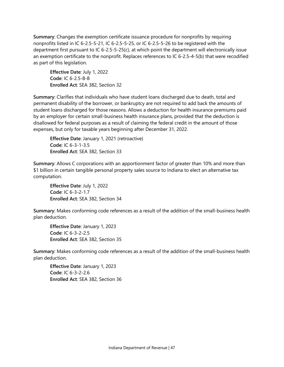**Summary**: Changes the exemption certificate issuance procedure for nonprofits by requiring nonprofits listed in IC 6-2.5-5-21, IC 6-2.5-5-25, or IC 6-2.5-5-26 to be registered with the department first pursuant to IC 6-2.5-5-25(c), at which point the department will electronically issue an exemption certificate to the nonprofit. Replaces references to IC 6-2.5-4-5(b) that were recodified as part of this legislation.

**Effective Date**: July 1, 2022 **Code**: IC 6-2.5-8-8 **Enrolled Act**: SEA 382, Section 32

**Summary**: Clarifies that individuals who have student loans discharged due to death, total and permanent disability of the borrower, or bankruptcy are not required to add back the amounts of student loans discharged for those reasons. Allows a deduction for health insurance premiums paid by an employer for certain small-business health insurance plans, provided that the deduction is disallowed for federal purposes as a result of claiming the federal credit in the amount of those expenses, but only for taxable years beginning after December 31, 2022.

**Effective Date**: January 1, 2021 (retroactive) **Code**: IC 6-3-1-3.5 **Enrolled Act**: SEA 382, Section 33

**Summary**: Allows C corporations with an apportionment factor of greater than 10% and more than \$1 billion in certain tangible personal property sales source to Indiana to elect an alternative tax computation.

**Effective Date**: July 1, 2022 **Code**: IC 6-3-2-1.7 **Enrolled Act**: SEA 382, Section 34

**Summary**: Makes conforming code references as a result of the addition of the small-business health plan deduction.

**Effective Date**: January 1, 2023 **Code**: IC 6-3-2-2.5 **Enrolled Act**: SEA 382, Section 35

**Summary**: Makes conforming code references as a result of the addition of the small-business health plan deduction.

**Effective Date**: January 1, 2023 **Code**: IC 6-3-2-2.6 **Enrolled Act**: SEA 382, Section 36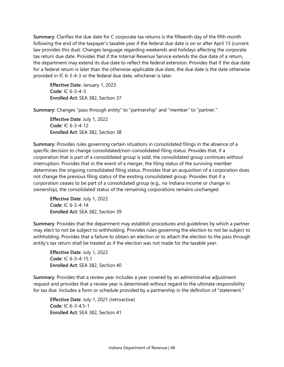**Summary**: Clarifies the due date for C corporate tax returns is the fifteenth day of the fifth month following the end of the taxpayer's taxable year if the federal due date is on or after April 15 (current law provides this due). Changes language regarding weekends and holidays affecting the corporate tax return due date. Provides that if the Internal Revenue Service extends the due date of a return, the department may extend its due date to reflect the federal extension. Provides that if the due date for a federal return is later than the otherwise applicable due date, the due date is the date otherwise provided in IC 6-3-4-3 or the federal due date, whichever is later.

**Effective Date**: January 1, 2023 **Code**: IC 6-3-4-3 **Enrolled Act**: SEA 382, Section 37

**Summary**: Changes "pass through entity" to "partnership" and "member" to "partner."

**Effective Date**: July 1, 2022 **Code**: IC 6-3-4-12 **Enrolled Act**: SEA 382, Section 38

**Summary**: Provides rules governing certain situations in consolidated filings in the absence of a specific decision to change consolidated/non-consolidated filing status. Provides that, if a corporation that is part of a consolidated group is sold, the consolidated group continues without interruption. Provides that in the event of a merger, the filing status of the surviving member determines the ongoing consolidated filing status. Provides that an acquisition of a corporation does not change the previous filing status of the existing consolidated group. Provides that if a corporation ceases to be part of a consolidated group (e.g., no Indiana income or change in ownership), the consolidated status of the remaining corporations remains unchanged.

**Effective Date**: July 1, 2022 **Code**: IC 6-3-4-14 **Enrolled Act**: SEA 382, Section 39

**Summary**: Provides that the department may establish procedures and guidelines by which a partner may elect to not be subject to withholding. Provides rules governing the election to not be subject to withholding. Provides that a failure to obtain an election or to attach the election to the pass through entity's tax return shall be treated as if the election was not made for the taxable year.

**Effective Date**: July 1, 2022 **Code**: IC 6-3-4-15.1 **Enrolled Act**: SEA 382, Section 40

**Summary**: Provides that a review year includes a year covered by an administrative adjustment request and provides that a review year is determined without regard to the ultimate responsibility for tax due. Includes a form or schedule provided by a partnership in the definition of "statement."

**Effective Date**: July 1, 2021 (retroactive) **Code**: IC 6-3-4.5-1 **Enrolled Act**: SEA 382, Section 41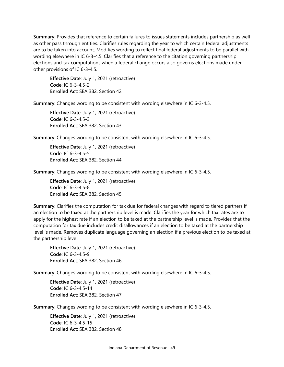**Summary**: Provides that reference to certain failures to issues statements includes partnership as well as other pass through entities. Clarifies rules regarding the year to which certain federal adjustments are to be taken into account. Modifies wording to reflect final federal adjustments to be parallel with wording elsewhere in IC 6-3-4.5. Clarifies that a reference to the citation governing partnership elections and tax computations when a federal change occurs also governs elections made under other provisions of IC 6-3-4.5.

**Effective Date**: July 1, 2021 (retroactive) **Code**: IC 6-3-4.5-2 **Enrolled Act**: SEA 382, Section 42

**Summary**: Changes wording to be consistent with wording elsewhere in IC 6-3-4.5.

**Effective Date**: July 1, 2021 (retroactive) **Code**: IC 6-3-4.5-3 **Enrolled Act**: SEA 382, Section 43

**Summary**: Changes wording to be consistent with wording elsewhere in IC 6-3-4.5.

**Effective Date**: July 1, 2021 (retroactive) **Code**: IC 6-3-4.5-5 **Enrolled Act**: SEA 382, Section 44

**Summary**: Changes wording to be consistent with wording elsewhere in IC 6-3-4.5.

**Effective Date**: July 1, 2021 (retroactive) **Code**: IC 6-3-4.5-8 **Enrolled Act**: SEA 382, Section 45

**Summary**: Clarifies the computation for tax due for federal changes with regard to tiered partners if an election to be taxed at the partnership level is made. Clarifies the year for which tax rates are to apply for the highest rate if an election to be taxed at the partnership level is made. Provides that the computation for tax due includes credit disallowances if an election to be taxed at the partnership level is made. Removes duplicate language governing an election if a previous election to be taxed at the partnership level.

**Effective Date**: July 1, 2021 (retroactive) **Code**: IC 6-3-4.5-9 **Enrolled Act**: SEA 382, Section 46

**Summary**: Changes wording to be consistent with wording elsewhere in IC 6-3-4.5.

**Effective Date**: July 1, 2021 (retroactive) **Code**: IC 6-3-4.5-14 **Enrolled Act**: SEA 382, Section 47

**Summary**: Changes wording to be consistent with wording elsewhere in IC 6-3-4.5.

**Effective Date**: July 1, 2021 (retroactive) **Code**: IC 6-3-4.5-15 **Enrolled Act**: SEA 382, Section 48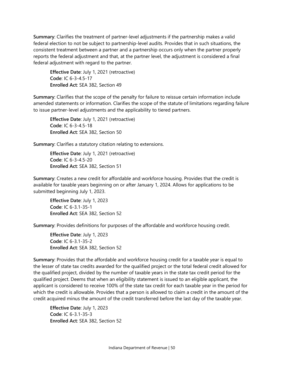**Summary**: Clarifies the treatment of partner-level adjustments if the partnership makes a valid federal election to not be subject to partnership-level audits. Provides that in such situations, the consistent treatment between a partner and a partnership occurs only when the partner properly reports the federal adjustment and that, at the partner level, the adjustment is considered a final federal adjustment with regard to the partner.

**Effective Date**: July 1, 2021 (retroactive) **Code**: IC 6-3-4.5-17 **Enrolled Act**: SEA 382, Section 49

**Summary**: Clarifies that the scope of the penalty for failure to reissue certain information include amended statements or information. Clarifies the scope of the statute of limitations regarding failure to issue partner-level adjustments and the applicability to tiered partners.

**Effective Date**: July 1, 2021 (retroactive) **Code**: IC 6-3-4.5-18 **Enrolled Act**: SEA 382, Section 50

**Summary**: Clarifies a statutory citation relating to extensions.

**Effective Date**: July 1, 2021 (retroactive) **Code**: IC 6-3-4.5-20 **Enrolled Act**: SEA 382, Section 51

**Summary**: Creates a new credit for affordable and workforce housing. Provides that the credit is available for taxable years beginning on or after January 1, 2024. Allows for applications to be submitted beginning July 1, 2023.

**Effective Date**: July 1, 2023 **Code**: IC 6-3.1-35-1 **Enrolled Act**: SEA 382, Section 52

**Summary**: Provides definitions for purposes of the affordable and workforce housing credit.

**Effective Date**: July 1, 2023 **Code**: IC 6-3.1-35-2 **Enrolled Act**: SEA 382, Section 52

**Summary**: Provides that the affordable and workforce housing credit for a taxable year is equal to the lesser of state tax credits awarded for the qualified project or the total federal credit allowed for the qualified project, divided by the number of taxable years in the state tax credit period for the qualified project. Deems that when an eligibility statement is issued to an eligible applicant, the applicant is considered to receive 100% of the state tax credit for each taxable year in the period for which the credit is allowable. Provides that a person is allowed to claim a credit in the amount of the credit acquired minus the amount of the credit transferred before the last day of the taxable year.

**Effective Date**: July 1, 2023 **Code**: IC 6-3.1-35-3 **Enrolled Act**: SEA 382, Section 52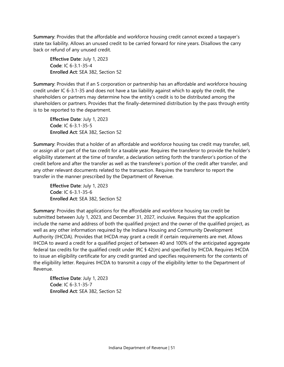**Summary**: Provides that the affordable and workforce housing credit cannot exceed a taxpayer's state tax liability. Allows an unused credit to be carried forward for nine years. Disallows the carry back or refund of any unused credit.

**Effective Date**: July 1, 2023 **Code**: IC 6-3.1-35-4 **Enrolled Act**: SEA 382, Section 52

**Summary**: Provides that if an S corporation or partnership has an affordable and workforce housing credit under IC 6-3.1-35 and does not have a tax liability against which to apply the credit, the shareholders or partners may determine how the entity's credit is to be distributed among the shareholders or partners. Provides that the finally-determined distribution by the pass through entity is to be reported to the department.

**Effective Date**: July 1, 2023 **Code**: IC 6-3.1-35-5 **Enrolled Act**: SEA 382, Section 52

**Summary**: Provides that a holder of an affordable and workforce housing tax credit may transfer, sell, or assign all or part of the tax credit for a taxable year. Requires the transferor to provide the holder's eligibility statement at the time of transfer, a declaration setting forth the transferor's portion of the credit before and after the transfer as well as the transferee's portion of the credit after transfer, and any other relevant documents related to the transaction. Requires the transferor to report the transfer in the manner prescribed by the Department of Revenue.

**Effective Date**: July 1, 2023 **Code**: IC 6-3.1-35-6 **Enrolled Act**: SEA 382, Section 52

**Summary**: Provides that applications for the affordable and workforce housing tax credit be submitted between July 1, 2023, and December 31, 2027, inclusive. Requires that the application include the name and address of both the qualified project and the owner of the qualified project, as well as any other information required by the Indiana Housing and Community Development Authority (IHCDA). Provides that IHCDA may grant a credit if certain requirements are met. Allows IHCDA to award a credit for a qualified project of between 40 and 100% of the anticipated aggregate federal tax credits for the qualified credit under IRC § 42(m) and specified by IHCDA. Requires IHCDA to issue an eligibility certificate for any credit granted and specifies requirements for the contents of the eligibility letter. Requires IHCDA to transmit a copy of the eligibility letter to the Department of Revenue.

**Effective Date**: July 1, 2023 **Code**: IC 6-3.1-35-7 **Enrolled Act**: SEA 382, Section 52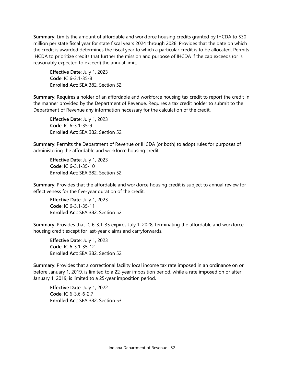**Summary**: Limits the amount of affordable and workforce housing credits granted by IHCDA to \$30 million per state fiscal year for state fiscal years 2024 through 2028. Provides that the date on which the credit is awarded determines the fiscal year to which a particular credit is to be allocated. Permits IHCDA to prioritize credits that further the mission and purpose of IHCDA if the cap exceeds (or is reasonably expected to exceed) the annual limit.

**Effective Date**: July 1, 2023 **Code**: IC 6-3.1-35-8 **Enrolled Act**: SEA 382, Section 52

**Summary**: Requires a holder of an affordable and workforce housing tax credit to report the credit in the manner provided by the Department of Revenue. Requires a tax credit holder to submit to the Department of Revenue any information necessary for the calculation of the credit.

**Effective Date**: July 1, 2023 **Code**: IC 6-3.1-35-9 **Enrolled Act**: SEA 382, Section 52

**Summary**: Permits the Department of Revenue or IHCDA (or both) to adopt rules for purposes of administering the affordable and workforce housing credit.

**Effective Date**: July 1, 2023 **Code**: IC 6-3.1-35-10 **Enrolled Act**: SEA 382, Section 52

**Summary**: Provides that the affordable and workforce housing credit is subject to annual review for effectiveness for the five-year duration of the credit.

**Effective Date**: July 1, 2023 **Code**: IC 6-3.1-35-11 **Enrolled Act**: SEA 382, Section 52

**Summary**: Provides that IC 6-3.1-35 expires July 1, 2028, terminating the affordable and workforce housing credit except for last-year claims and carryforwards.

**Effective Date**: July 1, 2023 **Code**: IC 6-3.1-35-12 **Enrolled Act**: SEA 382, Section 52

**Summary**: Provides that a correctional facility local income tax rate imposed in an ordinance on or before January 1, 2019, is limited to a 22-year imposition period, while a rate imposed on or after January 1, 2019, is limited to a 25-year imposition period.

**Effective Date**: July 1, 2022 **Code**: IC 6-3.6-6-2.7 **Enrolled Act**: SEA 382, Section 53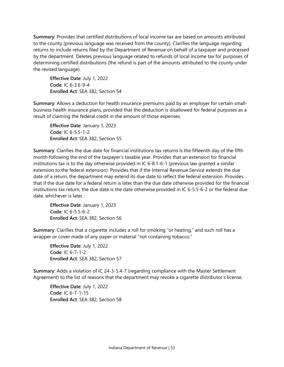**Summary**: Provides that certified distributions of local income tax are based on amounts attributed to the county (previous language was received from the county). Clarifies the language regarding returns to include returns filed by the Department of Revenue on behalf of a taxpayer and processed by the department. Deletes previous language related to refunds of local income tax for purposes of determining certified distributions (the refund is part of the amounts attributed to the county under the revised language).

**Effective Date**: July 1, 2022 **Code**: IC 6-3.6-9-4 **Enrolled Act**: SEA 382, Section 54

**Summary**: Allows a deduction for health insurance premiums paid by an employer for certain smallbusiness health insurance plans, provided that the deduction is disallowed for federal purposes as a result of claiming the federal credit in the amount of those expenses.

**Effective Date**: January 1, 2023 **Code**: IC 6-5.5-1-2 **Enrolled Act**: SEA 382, Section 55

**Summary**: Clarifies the due date for financial institutions tax returns is the fifteenth day of the fifth month following the end of the taxpayer's taxable year. Provides that an extension for financial institutions tax is to the day otherwise provided in IC 6-8.1-6-1 (previous law granted a similar extension to the federal extension). Provides that if the Internal Revenue Service extends the due date of a return, the department may extend its due date to reflect the federal extension. Provides that if the due date for a federal return is later than the due date otherwise provided for the financial institutions tax return, the due date is the date otherwise provided in IC 6-5.5-6-2 or the federal due date, whichever is later.

**Effective Date**: January 1, 2023 **Code**: IC 6-5.5-6-2 **Enrolled Act**: SEA 382, Section 56

**Summary**: Clarifies that a cigarette includes a roll for smoking "or heating," and such roll has a wrapper or cover made of any paper or material "not containing tobacco."

**Effective Date**: July 1, 2022 **Code**: IC 6-7-1-2 **Enrolled Act**: SEA 382, Section 57

**Summary**: Adds a violation of IC 24-3-5.4-7 (regarding compliance with the Master Settlement Agreement) to the list of reasons that the department may revoke a cigarette distributor's license.

**Effective Date**: July 1, 2022 **Code**: IC 6-7-1-15 **Enrolled Act**: SEA 382, Section 58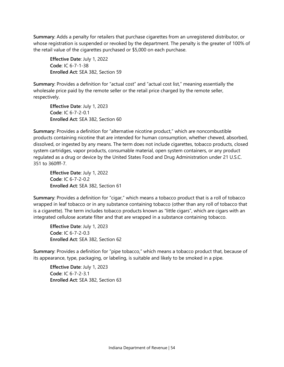**Summary**: Adds a penalty for retailers that purchase cigarettes from an unregistered distributor, or whose registration is suspended or revoked by the department. The penalty is the greater of 100% of the retail value of the cigarettes purchased or \$5,000 on each purchase.

**Effective Date**: July 1, 2022 **Code**: IC 6-7-1-38 **Enrolled Act**: SEA 382, Section 59

**Summary**: Provides a definition for "actual cost" and "actual cost list," meaning essentially the wholesale price paid by the remote seller or the retail price charged by the remote seller, respectively.

**Effective Date**: July 1, 2023 **Code**: IC 6-7-2-0.1 **Enrolled Act**: SEA 382, Section 60

**Summary**: Provides a definition for "alternative nicotine product," which are noncombustible products containing nicotine that are intended for human consumption, whether chewed, absorbed, dissolved, or ingested by any means. The term does not include cigarettes, tobacco products, closed system cartridges, vapor products, consumable material, open system containers, or any product regulated as a drug or device by the United States Food and Drug Administration under 21 U.S.C. 351 to 360fff-7.

**Effective Date**: July 1, 2022 **Code**: IC 6-7-2-0.2 **Enrolled Act**: SEA 382, Section 61

**Summary**: Provides a definition for "cigar," which means a tobacco product that is a roll of tobacco wrapped in leaf tobacco or in any substance containing tobacco (other than any roll of tobacco that is a cigarette). The term includes tobacco products known as "little cigars", which are cigars with an integrated cellulose acetate filter and that are wrapped in a substance containing tobacco.

**Effective Date**: July 1, 2023 **Code**: IC 6-7-2-0.3 **Enrolled Act**: SEA 382, Section 62

**Summary**: Provides a definition for "pipe tobacco," which means a tobacco product that, because of its appearance, type, packaging, or labeling, is suitable and likely to be smoked in a pipe.

**Effective Date**: July 1, 2023 **Code**: IC 6-7-2-3.1 **Enrolled Act**: SEA 382, Section 63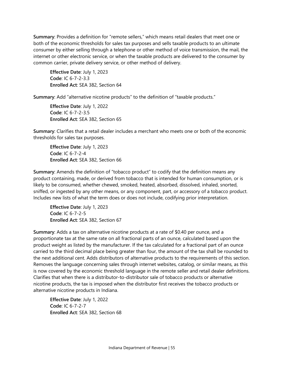**Summary**: Provides a definition for "remote sellers," which means retail dealers that meet one or both of the economic thresholds for sales tax purposes and sells taxable products to an ultimate consumer by either selling through a telephone or other method of voice transmission, the mail, the internet or other electronic service, or when the taxable products are delivered to the consumer by common carrier, private delivery service, or other method of delivery.

**Effective Date**: July 1, 2023 **Code**: IC 6-7-2-3.3 **Enrolled Act**: SEA 382, Section 64

**Summary**: Add "alternative nicotine products" to the definition of "taxable products."

**Effective Date**: July 1, 2022 **Code**: IC 6-7-2-3.5 **Enrolled Act**: SEA 382, Section 65

**Summary**: Clarifies that a retail dealer includes a merchant who meets one or both of the economic thresholds for sales tax purposes.

**Effective Date**: July 1, 2023 **Code**: IC 6-7-2-4 **Enrolled Act**: SEA 382, Section 66

**Summary**: Amends the definition of "tobacco product" to codify that the definition means any product containing, made, or derived from tobacco that is intended for human consumption, or is likely to be consumed, whether chewed, smoked, heated, absorbed, dissolved, inhaled, snorted, sniffed, or ingested by any other means, or any component, part, or accessory of a tobacco product. Includes new lists of what the term does or does not include, codifying prior interpretation.

**Effective Date**: July 1, 2023 **Code**: IC 6-7-2-5 **Enrolled Act**: SEA 382, Section 67

**Summary**: Adds a tax on alternative nicotine products at a rate of \$0.40 per ounce, and a proportionate tax at the same rate on all fractional parts of an ounce, calculated based upon the product weight as listed by the manufacturer. If the tax calculated for a fractional part of an ounce carried to the third decimal place being greater than four, the amount of the tax shall be rounded to the next additional cent. Adds distributors of alternative products to the requirements of this section. Removes the language concerning sales through internet websites, catalog, or similar means, as this is now covered by the economic threshold language in the remote seller and retail dealer definitions. Clarifies that when there is a distributor-to-distributor sale of tobacco products or alternative nicotine products, the tax is imposed when the distributor first receives the tobacco products or alternative nicotine products in Indiana.

**Effective Date**: July 1, 2022 **Code**: IC 6-7-2-7 **Enrolled Act**: SEA 382, Section 68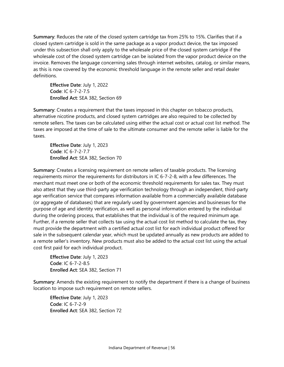**Summary**: Reduces the rate of the closed system cartridge tax from 25% to 15%. Clarifies that if a closed system cartridge is sold in the same package as a vapor product device, the tax imposed under this subsection shall only apply to the wholesale price of the closed system cartridge if the wholesale cost of the closed system cartridge can be isolated from the vapor product device on the invoice. Removes the language concerning sales through internet websites, catalog, or similar means, as this is now covered by the economic threshold language in the remote seller and retail dealer definitions.

**Effective Date**: July 1, 2022 **Code**: IC 6-7-2-7.5 **Enrolled Act**: SEA 382, Section 69

**Summary**: Creates a requirement that the taxes imposed in this chapter on tobacco products, alternative nicotine products, and closed system cartridges are also required to be collected by remote sellers. The taxes can be calculated using either the actual cost or actual cost list method. The taxes are imposed at the time of sale to the ultimate consumer and the remote seller is liable for the taxes.

**Effective Date**: July 1, 2023 **Code**: IC 6-7-2-7.7 **Enrolled Act**: SEA 382, Section 70

**Summary**: Creates a licensing requirement on remote sellers of taxable products. The licensing requirements mirror the requirements for distributors in IC 6-7-2-8, with a few differences. The merchant must meet one or both of the economic threshold requirements for sales tax. They must also attest that they use third-party age verification technology through an independent, third-party age verification service that compares information available from a commercially available database (or aggregate of databases) that are regularly used by government agencies and businesses for the purpose of age and identity verification, as well as personal information entered by the individual during the ordering process, that establishes that the individual is of the required minimum age. Further, if a remote seller that collects tax using the actual cost list method to calculate the tax, they must provide the department with a certified actual cost list for each individual product offered for sale in the subsequent calendar year, which must be updated annually as new products are added to a remote seller's inventory. New products must also be added to the actual cost list using the actual cost first paid for each individual product.

**Effective Date**: July 1, 2023 **Code**: IC 6-7-2-8.5 **Enrolled Act**: SEA 382, Section 71

**Summary**: Amends the existing requirement to notify the department if there is a change of business location to impose such requirement on remote sellers.

**Effective Date**: July 1, 2023 **Code**: IC 6-7-2-9 **Enrolled Act**: SEA 382, Section 72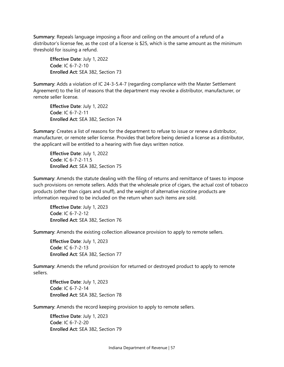**Summary**: Repeals language imposing a floor and ceiling on the amount of a refund of a distributor's license fee, as the cost of a license is \$25, which is the same amount as the minimum threshold for issuing a refund.

**Effective Date**: July 1, 2022 **Code**: IC 6-7-2-10 **Enrolled Act**: SEA 382, Section 73

**Summary**: Adds a violation of IC 24-3-5.4-7 (regarding compliance with the Master Settlement Agreement) to the list of reasons that the department may revoke a distributor, manufacturer, or remote seller license.

**Effective Date**: July 1, 2022 **Code**: IC 6-7-2-11 **Enrolled Act**: SEA 382, Section 74

**Summary**: Creates a list of reasons for the department to refuse to issue or renew a distributor, manufacturer, or remote seller license. Provides that before being denied a license as a distributor, the applicant will be entitled to a hearing with five days written notice.

**Effective Date**: July 1, 2022 **Code**: IC 6-7-2-11.5 **Enrolled Act**: SEA 382, Section 75

**Summary**: Amends the statute dealing with the filing of returns and remittance of taxes to impose such provisions on remote sellers. Adds that the wholesale price of cigars, the actual cost of tobacco products (other than cigars and snuff), and the weight of alternative nicotine products are information required to be included on the return when such items are sold.

**Effective Date**: July 1, 2023 **Code**: IC 6-7-2-12 **Enrolled Act**: SEA 382, Section 76

**Summary**: Amends the existing collection allowance provision to apply to remote sellers.

**Effective Date**: July 1, 2023 **Code**: IC 6-7-2-13 **Enrolled Act**: SEA 382, Section 77

**Summary**: Amends the refund provision for returned or destroyed product to apply to remote sellers.

**Effective Date**: July 1, 2023 **Code**: IC 6-7-2-14 **Enrolled Act**: SEA 382, Section 78

**Summary**: Amends the record keeping provision to apply to remote sellers.

**Effective Date**: July 1, 2023 **Code**: IC 6-7-2-20 **Enrolled Act**: SEA 382, Section 79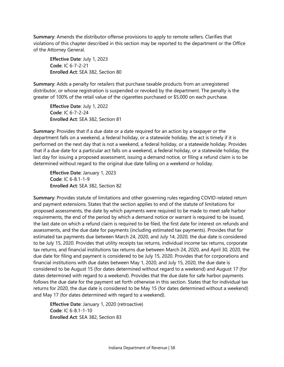**Summary**: Amends the distributor offense provisions to apply to remote sellers. Clarifies that violations of this chapter described in this section may be reported to the department or the Office of the Attorney General.

**Effective Date**: July 1, 2023 **Code**: IC 6-7-2-21 **Enrolled Act**: SEA 382, Section 80

**Summary**: Adds a penalty for retailers that purchase taxable products from an unregistered distributor, or whose registration is suspended or revoked by the department. The penalty is the greater of 100% of the retail value of the cigarettes purchased or \$5,000 on each purchase.

**Effective Date**: July 1, 2022 **Code**: IC 6-7-2-24 **Enrolled Act**: SEA 382, Section 81

**Summary**: Provides that if a due date or a date required for an action by a taxpayer or the department falls on a weekend, a federal holiday, or a statewide holiday, the act is timely if it is performed on the next day that is not a weekend, a federal holiday, or a statewide holiday. Provides that if a due date for a particular act falls on a weekend, a federal holiday, or a statewide holiday, the last day for issuing a proposed assessment, issuing a demand notice, or filing a refund claim is to be determined without regard to the original due date falling on a weekend or holiday.

**Effective Date**: January 1, 2023 **Code**: IC 6-8.1-1-9 **Enrolled Act**: SEA 382, Section 82

**Summary**: Provides statute of limitations and other governing rules regarding COVID-related return and payment extensions. States that the section applies to end of the statute of limitations for proposed assessments, the date by which payments were required to be made to meet safe harbor requirements, the end of the period by which a demand notice or warrant is required to be issued, the last date on which a refund claim is required to be filed, the first date for interest on refunds and assessments, and the due date for payments (including estimated tax payments). Provides that for estimated tax payments due between March 24, 2020, and July 14, 2020, the due date is considered to be July 15, 2020. Provides that utility receipts tax returns, individual income tax returns, corporate tax returns, and financial institutions tax returns due between March 24, 2020, and April 30, 2020, the due date for filing and payment is considered to be July 15, 2020. Provides that for corporations and financial institutions with due dates between May 1, 2020, and July 15, 2020, the due date is considered to be August 15 (for dates determined without regard to a weekend) and August 17 (for dates determined with regard to a weekend). Provides that the due date for safe harbor payments follows the due date for the payment set forth otherwise in this section. States that for individual tax returns for 2020, the due date is considered to be May 15 (for dates determined without a weekend) and May 17 (for dates determined with regard to a weekend).

**Effective Date**: January 1, 2020 (retroactive) **Code**: IC 6-8.1-1-10 **Enrolled Act**: SEA 382, Section 83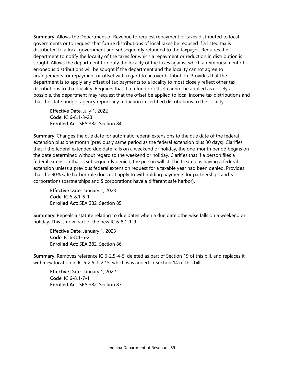**Summary**: Allows the Department of Revenue to request repayment of taxes distributed to local governments or to request that future distributions of local taxes be reduced if a listed tax is distributed to a local government and subsequently refunded to the taxpayer. Requires the department to notify the locality of the taxes for which a repayment or reduction in distribution is sought. Allows the department to notify the locality of the taxes against which a reimbursement of erroneous distributions will be sought if the department and the locality cannot agree to arrangements for repayment or offset with regard to an overdistribution. Provides that the department is to apply any offset of tax payments to a locality to most closely reflect other tax distributions to that locality. Requires that if a refund or offset cannot be applied as closely as possible, the department may request that the offset be applied to local income tax distributions and that the state budget agency report any reduction in certified distributions to the locality.

**Effective Date**: July 1, 2022 **Code**: IC 6-8.1-3-28 **Enrolled Act**: SEA 382, Section 84

**Summary**: Changes the due date for automatic federal extensions to the due date of the federal extension plus one month (previously same period as the federal extension plus 30 days). Clarifies that if the federal extended due date falls on a weekend or holiday, the one-month period begins on the date determined without regard to the weekend or holiday. Clarifies that if a person files a federal extension that is subsequently denied, the person will still be treated as having a federal extension unless a previous federal extension request for a taxable year had been denied. Provides that the 90% safe harbor rule does not apply to withholding payments for partnerships and S corporations (partnerships and S corporations have a different safe harbor).

**Effective Date**: January 1, 2023 **Code**: IC 6-8.1-6-1 **Enrolled Act**: SEA 382, Section 85

**Summary**: Repeals a statute relating to due dates when a due date otherwise falls on a weekend or holiday. This is now part of the new IC 6-8.1-1-9.

**Effective Date**: January 1, 2023 **Code**: IC 6-8.1-6-2 **Enrolled Act**: SEA 382, Section 86

**Summary**: Removes reference IC 6-2.5-4-5, deleted as part of Section 19 of this bill, and replaces it with new location in IC 6-2.5-1-22.5, which was added in Section 14 of this bill.

**Effective Date**: January 1, 2022 **Code**: IC 6-8.1-7-1 **Enrolled Act**: SEA 382, Section 87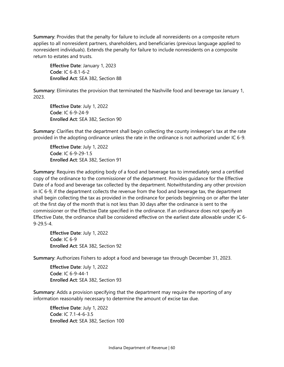**Summary**: Provides that the penalty for failure to include all nonresidents on a composite return applies to all nonresident partners, shareholders, and beneficiaries (previous language applied to nonresident individuals). Extends the penalty for failure to include nonresidents on a composite return to estates and trusts.

**Effective Date**: January 1, 2023 **Code**: IC 6-8.1-6-2 **Enrolled Act**: SEA 382, Section 88

**Summary**: Eliminates the provision that terminated the Nashville food and beverage tax January 1, 2023.

**Effective Date**: July 1, 2022 **Code**: IC 6-9-24-9 **Enrolled Act**: SEA 382, Section 90

**Summary**: Clarifies that the department shall begin collecting the county innkeeper's tax at the rate provided in the adopting ordinance unless the rate in the ordinance is not authorized under IC 6-9.

**Effective Date**: July 1, 2022 **Code**: IC 6-9-29-1.5 **Enrolled Act**: SEA 382, Section 91

**Summary**: Requires the adopting body of a food and beverage tax to immediately send a certified copy of the ordinance to the commissioner of the department. Provides guidance for the Effective Date of a food and beverage tax collected by the department. Notwithstanding any other provision in IC 6-9, if the department collects the revenue from the food and beverage tax, the department shall begin collecting the tax as provided in the ordinance for periods beginning on or after the later of: the first day of the month that is not less than 30 days after the ordinance is sent to the commissioner or the Effective Date specified in the ordinance. If an ordinance does not specify an Effective Date, the ordinance shall be considered effective on the earliest date allowable under IC 6- 9-29.5-4.

**Effective Date**: July 1, 2022 **Code**: IC 6-9 **Enrolled Act**: SEA 382, Section 92

**Summary**: Authorizes Fishers to adopt a food and beverage tax through December 31, 2023.

**Effective Date**: July 1, 2022 **Code**: IC 6-9-44-1 **Enrolled Act**: SEA 382, Section 93

**Summary**: Adds a provision specifying that the department may require the reporting of any information reasonably necessary to determine the amount of excise tax due.

**Effective Date**: July 1, 2022 **Code**: IC 7.1-4-6-3.5 **Enrolled Act**: SEA 382, Section 100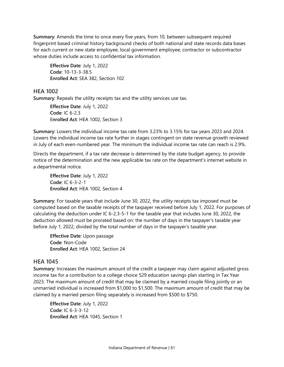**Summary**: Amends the time to once every five years, from 10, between subsequent required fingerprint based criminal history background checks of both national and state records data bases for each current or new state employee, local government employee, contractor or subcontractor whose duties include access to confidential tax information.

**Effective Date**: July 1, 2022 **Code**: 10-13-3-38.5 **Enrolled Act**: SEA 382, Section 102

#### <span id="page-61-0"></span>**HEA 1002**

**Summary**: Repeals the utility receipts tax and the utility services use tax.

**Effective Date**: July 1, 2022 **Code**: IC 6-2.3 E**nrolled Act**: HEA 1002, Section 3

**Summary**: Lowers the individual income tax rate from 3.23% to 3.15% for tax years 2023 and 2024. Lowers the individual income tax rate further in stages contingent on state revenue growth reviewed in July of each even-numbered year. The minimum the individual income tax rate can reach is 2.9%.

Directs the department, if a tax rate decrease is determined by the state budget agency, to provide notice of the determination and the new applicable tax rate on the department's internet website in a departmental notice.

**Effective Date**: July 1, 2022 **Code**: IC 6-3-2-1 **Enrolled Act**: HEA 1002, Section 4

**Summary**: For taxable years that include June 30, 2022, the utility receipts tax imposed must be computed based on the taxable receipts of the taxpayer received before July 1, 2022. For purposes of calculating the deduction under IC 6-2.3-5-1 for the taxable year that includes June 30, 2022, the deduction allowed must be prorated based on: the number of days in the taxpayer's taxable year before July 1, 2022, divided by the total number of days in the taxpayer's taxable year.

**Effective Date**: Upon passage **Code**: Non-Code **Enrolled Act**: HEA 1002, Section 24

# <span id="page-61-1"></span>**HEA 1045**

**Summary**: Increases the maximum amount of the credit a taxpayer may claim against adjusted gross income tax for a contribution to a college choice 529 education savings plan starting in Tax Year 2023. The maximum amount of credit that may be claimed by a married couple filing jointly or an unmarried individual is increased from \$1,000 to \$1,500. The maximum amount of credit that may be claimed by a married person filing separately is increased from \$500 to \$750.

**Effective Date**: July 1, 2022 **Code**: IC 6-3-3-12 **Enrolled Act**: HEA 1045, Section 1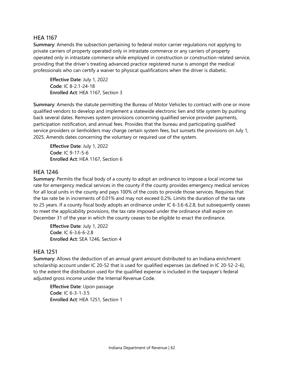# <span id="page-62-0"></span>**HEA 1167**

**Summary**: Amends the subsection pertaining to federal motor carrier regulations not applying to private carriers of property operated only in intrastate commerce or any carriers of property operated only in intrastate commerce while employed in construction or construction-related service, providing that the driver's treating advanced practice registered nurse is amongst the medical professionals who can certify a waiver to physical qualifications when the driver is diabetic.

**Effective Date**: July 1, 2022 **Code**: IC 8-2.1-24-18 **Enrolled Act**: HEA 1167, Section 3

**Summary**: Amends the statute permitting the Bureau of Motor Vehicles to contract with one or more qualified vendors to develop and implement a statewide electronic lien and title system by pushing back several dates. Removes system provisions concerning qualified service provider payments, participation notification, and annual fees. Provides that the bureau and participating qualified service providers or lienholders may charge certain system fees, but sunsets the provisions on July 1, 2025. Amends dates concerning the voluntary or required use of the system.

**Effective Date**: July 1, 2022 **Code**: IC 9-17-5-6 **Enrolled Act**: HEA 1167, Section 6

# <span id="page-62-1"></span>**HEA 1246**

**Summary**: Permits the fiscal body of a county to adopt an ordinance to impose a local income tax rate for emergency medical services in the county if the county provides emergency medical services for all local units in the county and pays 100% of the costs to provide those services. Requires that the tax rate be in increments of 0.01% and may not exceed 0.2%. Limits the duration of the tax rate to 25 years. If a county fiscal body adopts an ordinance under IC 6-3.6-6.2.8, but subsequently ceases to meet the applicability provisions, the tax rate imposed under the ordinance shall expire on December 31 of the year in which the county ceases to be eligible to enact the ordinance.

**Effective Date**: July 1, 2022 **Code**: IC 6-3.6-6-2.8 **Enrolled Act**: SEA 1246, Section 4

# <span id="page-62-2"></span>**HEA 1251**

**Summary**: Allows the deduction of an annual grant amount distributed to an Indiana enrichment scholarship account under IC 20-52 that is used for qualified expenses (as defined in IC 20-52-2-6), to the extent the distribution used for the qualified expense is included in the taxpayer's federal adjusted gross income under the Internal Revenue Code.

**Effective Date**: Upon passage **Code**: IC 6-3-1-3.5 **Enrolled Act**: HEA 1251, Section 1